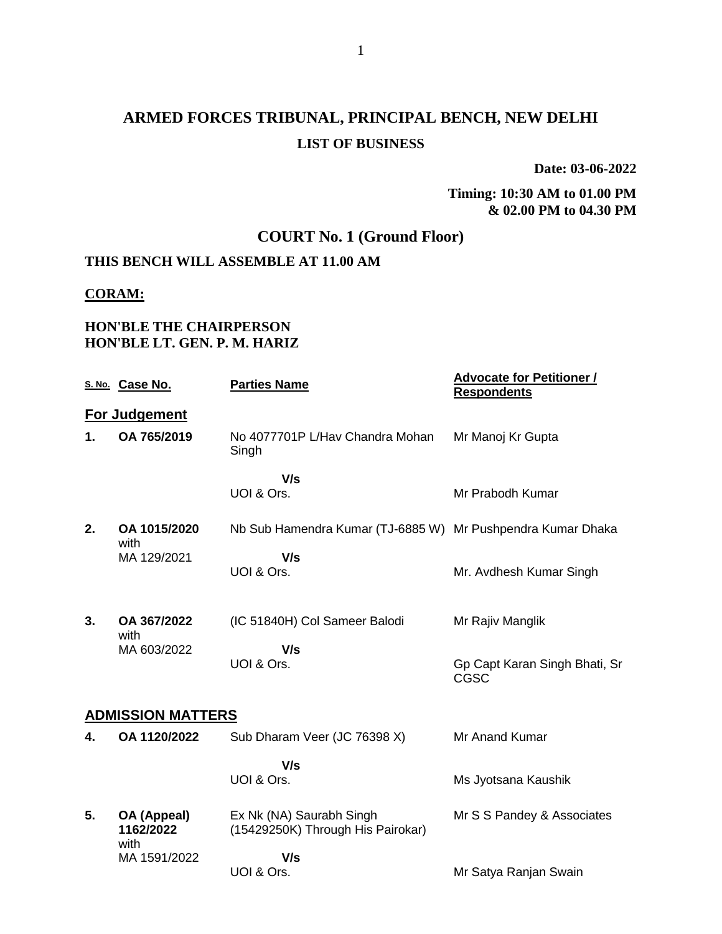**Date: 03-06-2022**

#### **Timing: 10:30 AM to 01.00 PM & 02.00 PM to 04.30 PM**

## **COURT No. 1 (Ground Floor)**

## **THIS BENCH WILL ASSEMBLE AT 11.00 AM**

#### **CORAM:**

#### **HON'BLE THE CHAIRPERSON HON'BLE LT. GEN. P. M. HARIZ**

|    | S. No. Case No.                  | <b>Parties Name</b>                                           | <b>Advocate for Petitioner /</b><br><b>Respondents</b> |
|----|----------------------------------|---------------------------------------------------------------|--------------------------------------------------------|
|    | For Judgement                    |                                                               |                                                        |
| 1. | OA 765/2019                      | No 4077701P L/Hav Chandra Mohan<br>Singh                      | Mr Manoj Kr Gupta                                      |
|    |                                  | V/s<br>UOI & Ors.                                             | Mr Prabodh Kumar                                       |
| 2. | OA 1015/2020<br>with             | Nb Sub Hamendra Kumar (TJ-6885 W) Mr Pushpendra Kumar Dhaka   |                                                        |
|    | MA 129/2021                      | V/s<br>UOI & Ors.                                             | Mr. Avdhesh Kumar Singh                                |
| 3. | OA 367/2022<br>with              | (IC 51840H) Col Sameer Balodi                                 | Mr Rajiv Manglik                                       |
|    | MA 603/2022                      | V/s<br>UOI & Ors.                                             | Gp Capt Karan Singh Bhati, Sr<br>CGSC                  |
|    | <b>ADMISSION MATTERS</b>         |                                                               |                                                        |
| 4. | OA 1120/2022                     | Sub Dharam Veer (JC 76398 X)                                  | <b>Mr Anand Kumar</b>                                  |
|    |                                  | V/s<br>UOI & Ors.                                             | Ms Jyotsana Kaushik                                    |
| 5. | OA (Appeal)<br>1162/2022<br>with | Ex Nk (NA) Saurabh Singh<br>(15429250K) Through His Pairokar) | Mr S S Pandey & Associates                             |
|    | MA 1591/2022                     | V/s<br>UOI & Ors.                                             | Mr Satya Ranjan Swain                                  |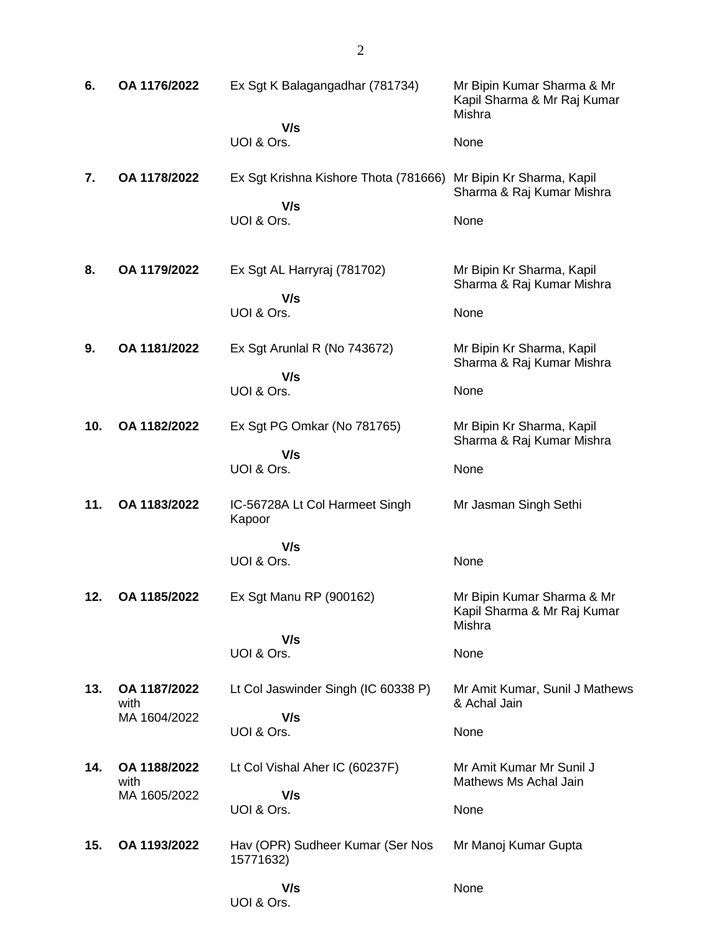| 6.  | OA 1176/2022         | Ex Sgt K Balagangadhar (781734)               | Mr Bipin Kumar Sharma & Mr<br>Kapil Sharma & Mr Raj Kumar<br>Mishra |
|-----|----------------------|-----------------------------------------------|---------------------------------------------------------------------|
|     |                      | V/s<br>UOI & Ors.                             | None                                                                |
| 7.  | OA 1178/2022         | Ex Sgt Krishna Kishore Thota (781666)<br>V/s  | Mr Bipin Kr Sharma, Kapil<br>Sharma & Raj Kumar Mishra              |
|     |                      | UOI & Ors.                                    | None                                                                |
| 8.  | OA 1179/2022         | Ex Sgt AL Harryraj (781702)                   | Mr Bipin Kr Sharma, Kapil<br>Sharma & Raj Kumar Mishra              |
|     |                      | V/s<br>UOI & Ors.                             | None                                                                |
| 9.  | OA 1181/2022         | Ex Sgt Arunlal R (No 743672)                  | Mr Bipin Kr Sharma, Kapil<br>Sharma & Raj Kumar Mishra              |
|     |                      | V/s<br>UOI & Ors.                             | None                                                                |
| 10. | OA 1182/2022         | Ex Sgt PG Omkar (No 781765)                   | Mr Bipin Kr Sharma, Kapil<br>Sharma & Raj Kumar Mishra              |
|     |                      | V/s<br>UOI & Ors.                             | None                                                                |
| 11. | OA 1183/2022         | IC-56728A Lt Col Harmeet Singh<br>Kapoor      | Mr Jasman Singh Sethi                                               |
|     |                      | V/s<br>UOI & Ors.                             | None                                                                |
| 12. | OA 1185/2022         | Ex Sgt Manu RP (900162)                       | Mr Bipin Kumar Sharma & Mr<br>Kapil Sharma & Mr Raj Kumar<br>Mishra |
|     |                      | V/s<br>UOI & Ors.                             | None                                                                |
| 13. | OA 1187/2022<br>with | Lt Col Jaswinder Singh (IC 60338 P)           | Mr Amit Kumar, Sunil J Mathews<br>& Achal Jain                      |
|     | MA 1604/2022         | V/s<br>UOI & Ors.                             | None                                                                |
| 14. | OA 1188/2022<br>with | Lt Col Vishal Aher IC (60237F)                | Mr Amit Kumar Mr Sunil J<br>Mathews Ms Achal Jain                   |
|     | MA 1605/2022         | V/s<br>UOI & Ors.                             | None                                                                |
| 15. | OA 1193/2022         | Hav (OPR) Sudheer Kumar (Ser Nos<br>15771632) | Mr Manoj Kumar Gupta                                                |
|     |                      | V/s<br>UOI & Ors.                             | None                                                                |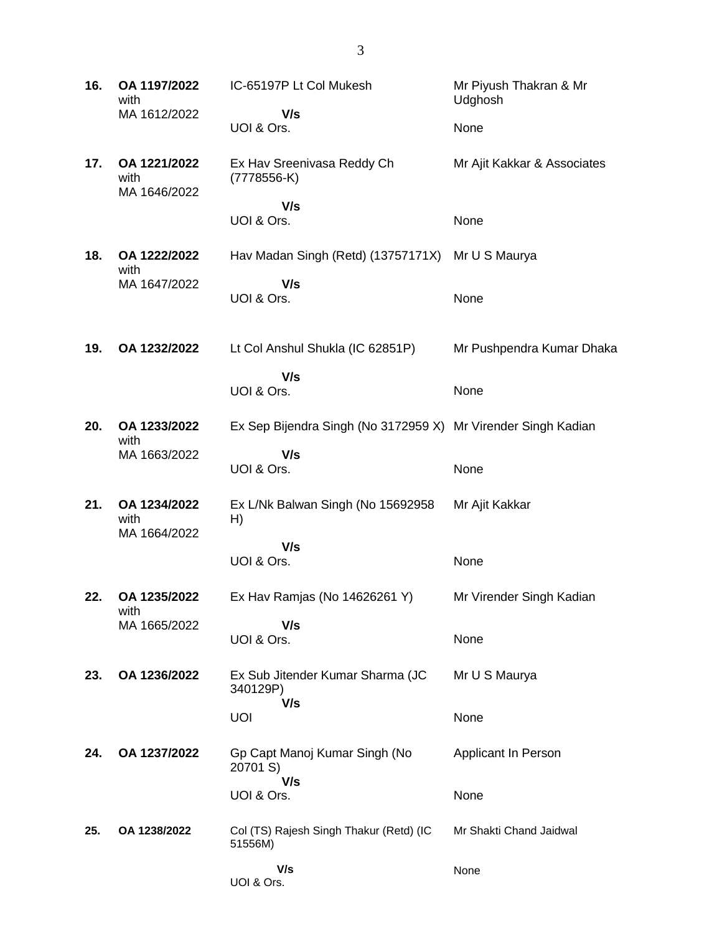| 16. | OA 1197/2022<br>with                 | IC-65197P Lt Col Mukesh                                       | Mr Piyush Thakran & Mr<br>Udghosh |
|-----|--------------------------------------|---------------------------------------------------------------|-----------------------------------|
|     | MA 1612/2022                         | V/s<br>UOI & Ors.                                             | None                              |
| 17. | OA 1221/2022<br>with<br>MA 1646/2022 | Ex Hav Sreenivasa Reddy Ch<br>$(7778556-K)$                   | Mr Ajit Kakkar & Associates       |
|     |                                      | V/s<br>UOI & Ors.                                             | None                              |
| 18. | OA 1222/2022<br>with                 | Hav Madan Singh (Retd) (13757171X)                            | Mr U S Maurya                     |
|     | MA 1647/2022                         | V/s<br>UOI & Ors.                                             | None                              |
| 19. | OA 1232/2022                         | Lt Col Anshul Shukla (IC 62851P)                              | Mr Pushpendra Kumar Dhaka         |
|     |                                      | V/s<br>UOI & Ors.                                             | None                              |
| 20. | OA 1233/2022<br>with                 | Ex Sep Bijendra Singh (No 3172959 X) Mr Virender Singh Kadian |                                   |
|     | MA 1663/2022                         | V/s<br>UOI & Ors.                                             | None                              |
| 21. | OA 1234/2022<br>with                 | Ex L/Nk Balwan Singh (No 15692958<br>H)                       | Mr Ajit Kakkar                    |
|     | MA 1664/2022                         | V/s<br>UOI & Ors.                                             | None                              |
| 22. | OA 1235/2022<br>with                 | Ex Hav Ramjas (No 14626261 Y)                                 | Mr Virender Singh Kadian          |
|     | MA 1665/2022                         | V/s<br>UOI & Ors.                                             | None                              |
| 23. | OA 1236/2022                         | Ex Sub Jitender Kumar Sharma (JC<br>340129P)                  | Mr U S Maurya                     |
|     |                                      | V/s<br><b>UOI</b>                                             | None                              |
| 24. | OA 1237/2022                         | Gp Capt Manoj Kumar Singh (No<br>20701 S)                     | Applicant In Person               |
|     |                                      | V/s<br>UOI & Ors.                                             | None                              |
| 25. | OA 1238/2022                         | Col (TS) Rajesh Singh Thakur (Retd) (IC<br>51556M)            | Mr Shakti Chand Jaidwal           |
|     |                                      | V/s<br>UOI & Ors.                                             | None                              |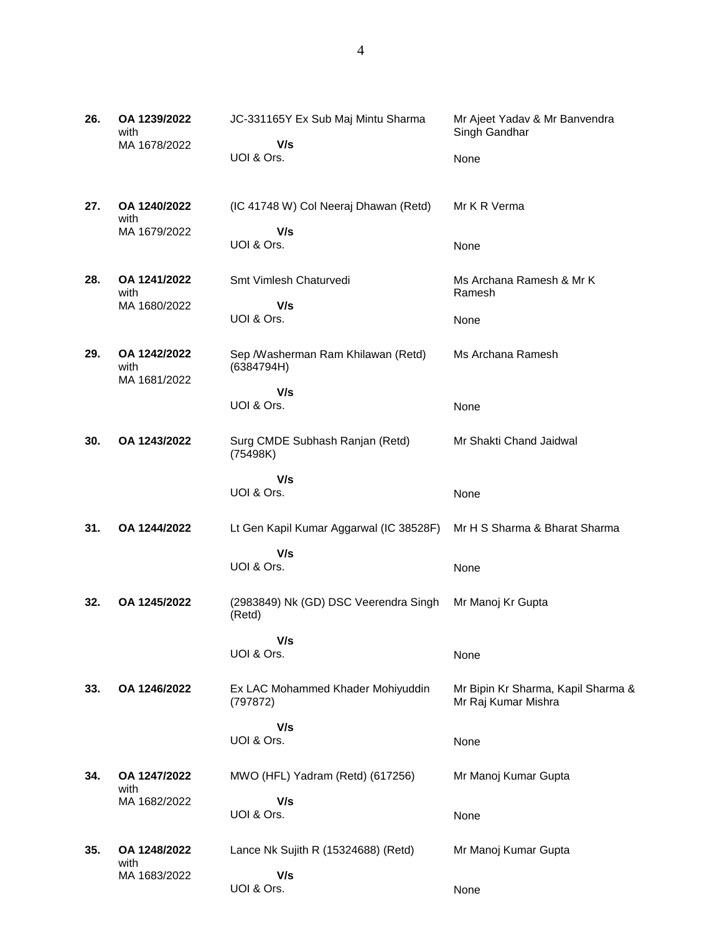| 26. | OA 1239/2022<br>with                 | JC-331165Y Ex Sub Maj Mintu Sharma               | Mr Ajeet Yadav & Mr Banvendra<br>Singh Gandhar            |
|-----|--------------------------------------|--------------------------------------------------|-----------------------------------------------------------|
|     | MA 1678/2022                         | V/s<br>UOI & Ors.                                | None                                                      |
| 27. | OA 1240/2022<br>with                 | (IC 41748 W) Col Neeraj Dhawan (Retd)            | Mr K R Verma                                              |
|     | MA 1679/2022                         | V/s<br>UOI & Ors.                                | None                                                      |
| 28. | OA 1241/2022<br>with                 | Smt Vimlesh Chaturvedi                           | Ms Archana Ramesh & Mr K<br>Ramesh                        |
|     | MA 1680/2022                         | V/s                                              |                                                           |
|     |                                      | UOI & Ors.                                       | None                                                      |
| 29. | OA 1242/2022<br>with<br>MA 1681/2022 | Sep /Washerman Ram Khilawan (Retd)<br>(6384794H) | Ms Archana Ramesh                                         |
|     |                                      | V/s<br>UOI & Ors.                                | None                                                      |
| 30. | OA 1243/2022                         | Surg CMDE Subhash Ranjan (Retd)<br>(75498K)      | Mr Shakti Chand Jaidwal                                   |
|     |                                      | V/s<br>UOI & Ors.                                | None                                                      |
| 31. | OA 1244/2022                         | Lt Gen Kapil Kumar Aggarwal (IC 38528F)          | Mr H S Sharma & Bharat Sharma                             |
|     |                                      | V/s<br>UOI & Ors.                                | None                                                      |
| 32. | OA 1245/2022                         | (2983849) Nk (GD) DSC Veerendra Singh<br>(Retd)  | Mr Manoj Kr Gupta                                         |
|     |                                      | V/s                                              |                                                           |
|     |                                      | UOI & Ors.                                       | None                                                      |
| 33. | OA 1246/2022                         | Ex LAC Mohammed Khader Mohiyuddin<br>(797872)    | Mr Bipin Kr Sharma, Kapil Sharma &<br>Mr Raj Kumar Mishra |
|     |                                      | V/s<br>UOI & Ors.                                | None                                                      |
| 34. | OA 1247/2022<br>with                 | MWO (HFL) Yadram (Retd) (617256)                 | Mr Manoj Kumar Gupta                                      |
|     | MA 1682/2022                         | V/s                                              |                                                           |
|     |                                      | UOI & Ors.                                       | None                                                      |
| 35. | OA 1248/2022                         | Lance Nk Sujith R (15324688) (Retd)              | Mr Manoj Kumar Gupta                                      |
|     | with<br>MA 1683/2022                 | V/s                                              |                                                           |
|     |                                      | UOI & Ors.                                       | None                                                      |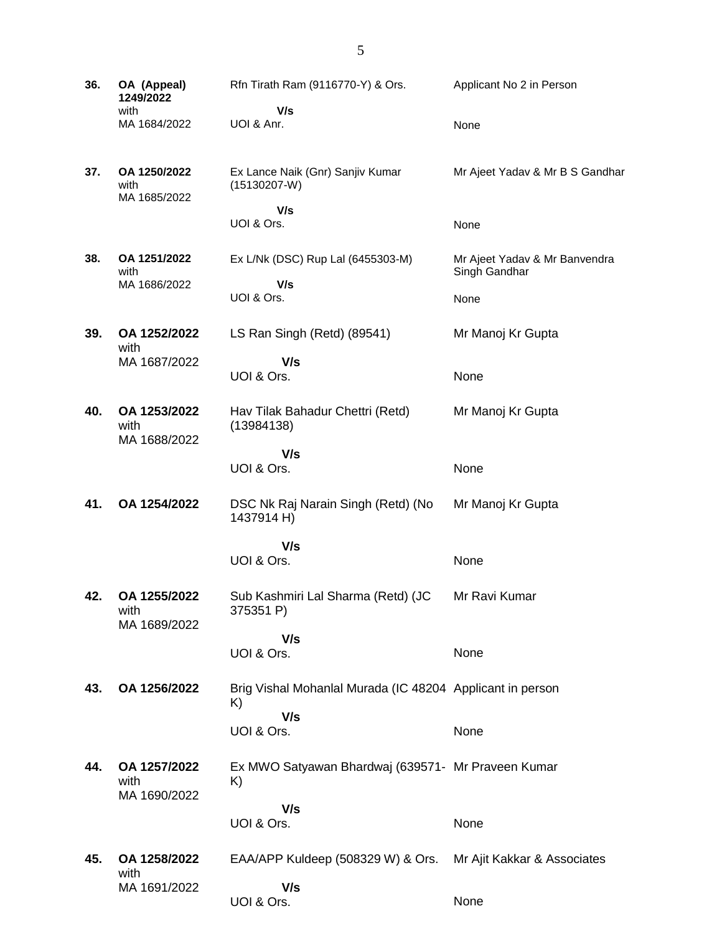**36. OA (Appeal) 1249/2022** with MA 1684/2022 Rfn Tirath Ram (9116770-Y) & Ors.  **V/s** UOI & Anr. Applicant No 2 in Person None **37. OA 1250/2022** with MA 1685/2022 Ex Lance Naik (Gnr) Sanjiv Kumar (15130207-W)  **V/s** UOI & Ors. Mr Ajeet Yadav & Mr B S Gandhar None **38. OA 1251/2022** with MA 1686/2022 Ex L/Nk (DSC) Rup Lal (6455303-M)  **V/s** UOI & Ors. Mr Ajeet Yadav & Mr Banvendra Singh Gandhar None **39. OA 1252/2022** with MA 1687/2022 LS Ran Singh (Retd) (89541)  **V/s** UOI & Ors. Mr Manoj Kr Gupta None **40. OA 1253/2022** with MA 1688/2022 Hav Tilak Bahadur Chettri (Retd) (13984138)  **V/s** UOI & Ors. Mr Manoj Kr Gupta None **41. OA 1254/2022** DSC Nk Raj Narain Singh (Retd) (No 1437914 H)  **V/s** UOI & Ors. Mr Manoj Kr Gupta None **42. OA 1255/2022** with MA 1689/2022 Sub Kashmiri Lal Sharma (Retd) (JC 375351 P)  **V/s** UOI & Ors. Mr Ravi Kumar None **43. OA 1256/2022** Brig Vishal Mohanlal Murada (IC 48204 Applicant in person K)  **V/s** UOI & Ors. None **44. OA 1257/2022** with MA 1690/2022 Ex MWO Satyawan Bhardwaj (639571- Mr Praveen Kumar K)  **V/s** UOI & Ors. None **45. OA 1258/2022** with MA 1691/2022 EAA/APP Kuldeep (508329 W) & Ors.  **V/s** Mr Ajit Kakkar & Associates

None

UOI & Ors.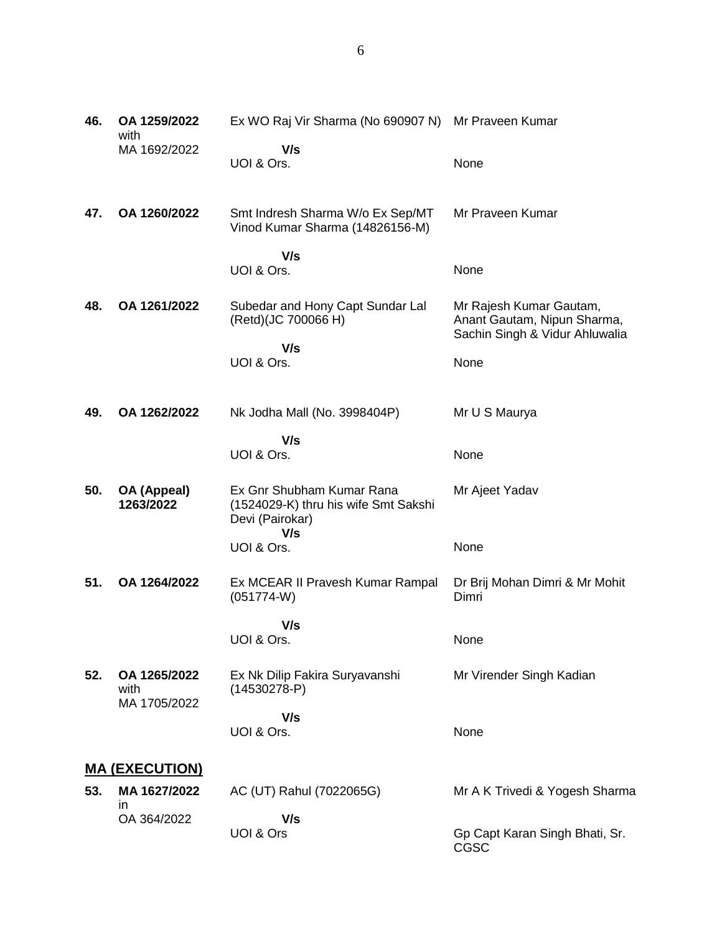| 46. | OA 1259/2022<br>with                 | Ex WO Raj Vir Sharma (No 690907 N) Mr Praveen Kumar                                         |                                                                                          |
|-----|--------------------------------------|---------------------------------------------------------------------------------------------|------------------------------------------------------------------------------------------|
|     | MA 1692/2022                         | V/s<br>UOI & Ors.                                                                           | None                                                                                     |
| 47. | OA 1260/2022                         | Smt Indresh Sharma W/o Ex Sep/MT<br>Vinod Kumar Sharma (14826156-M)                         | Mr Praveen Kumar                                                                         |
|     |                                      | V/s<br>UOI & Ors.                                                                           | None                                                                                     |
| 48. | OA 1261/2022                         | Subedar and Hony Capt Sundar Lal<br>(Retd)(JC 700066 H)                                     | Mr Rajesh Kumar Gautam,<br>Anant Gautam, Nipun Sharma,<br>Sachin Singh & Vidur Ahluwalia |
|     |                                      | V/s<br>UOI & Ors.                                                                           | None                                                                                     |
| 49. | OA 1262/2022                         | Nk Jodha Mall (No. 3998404P)                                                                | Mr U S Maurya                                                                            |
|     |                                      | V/s<br>UOI & Ors.                                                                           | None                                                                                     |
| 50. | OA (Appeal)<br>1263/2022             | Ex Gnr Shubham Kumar Rana<br>(1524029-K) thru his wife Smt Sakshi<br>Devi (Pairokar)<br>V/s | Mr Ajeet Yadav                                                                           |
|     |                                      | UOI & Ors.                                                                                  | None                                                                                     |
| 51. | OA 1264/2022                         | Ex MCEAR II Pravesh Kumar Rampal<br>$(051774-W)$                                            | Dr Brij Mohan Dimri & Mr Mohit<br>Dimri                                                  |
|     |                                      | V/s<br>UOI & Ors.                                                                           | None                                                                                     |
| 52. | OA 1265/2022<br>with<br>MA 1705/2022 | Ex Nk Dilip Fakira Suryavanshi<br>$(14530278-P)$                                            | Mr Virender Singh Kadian                                                                 |
|     |                                      | V/s<br>UOI & Ors.                                                                           | None                                                                                     |
|     | <u>MA (EXECUTION)</u>                |                                                                                             |                                                                                          |
| 53. | MA 1627/2022<br>ın                   | AC (UT) Rahul (7022065G)                                                                    | Mr A K Trivedi & Yogesh Sharma                                                           |
|     | OA 364/2022                          | V/s<br>UOI & Ors                                                                            | Gp Capt Karan Singh Bhati, Sr.<br>CGSC                                                   |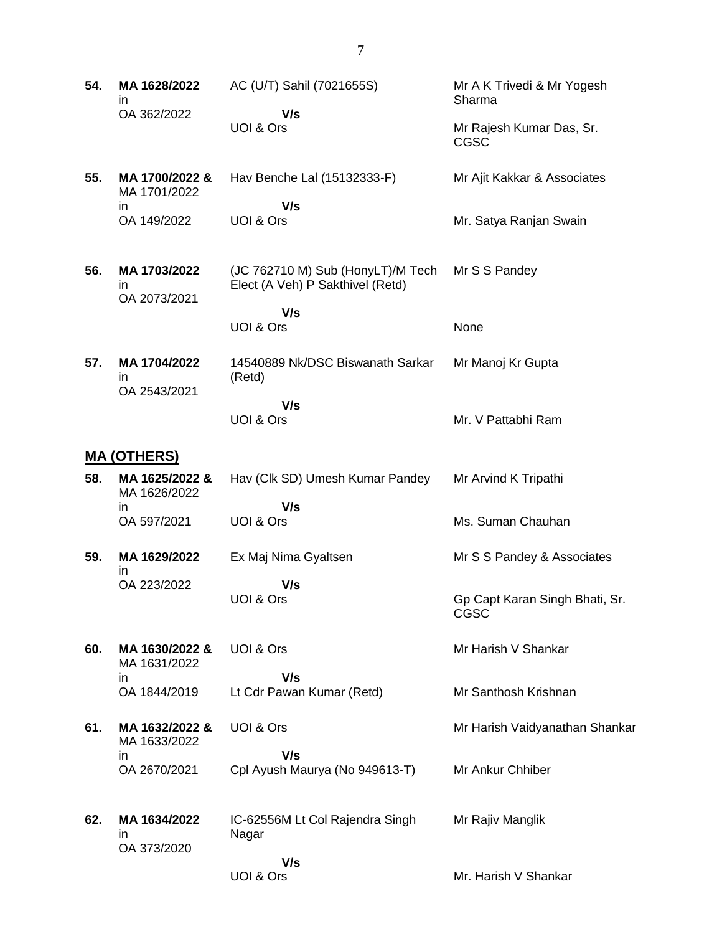- **54. MA 1628/2022** in OA 362/2022 AC (U/T) Sahil (7021655S)  **V/s** UOI & Ors Mr A K Trivedi & Mr Yogesh Sharma Mr Rajesh Kumar Das, Sr. CGSC **55. MA 1700/2022 &** MA 1701/2022 in OA 149/2022 Hav Benche Lal (15132333-F)  **V/s** UOI & Ors Mr Ajit Kakkar & Associates Mr. Satya Ranjan Swain **56. MA 1703/2022** in OA 2073/2021 (JC 762710 M) Sub (HonyLT)/M Tech Elect (A Veh) P Sakthivel (Retd)  **V/s** UOI & Ors Mr S S Pandey None **57. MA 1704/2022** in OA 2543/2021 14540889 Nk/DSC Biswanath Sarkar (Retd)  **V/s** UOI & Ors Mr Manoj Kr Gupta Mr. V Pattabhi Ram **MA (OTHERS) 58. MA 1625/2022 &** MA 1626/2022 in OA 597/2021 Hav (Clk SD) Umesh Kumar Pandey  **V/s** UOI & Ors Mr Arvind K Tripathi Ms. Suman Chauhan **59. MA 1629/2022** in OA 223/2022 Ex Maj Nima Gyaltsen  **V/s** UOI & Ors Mr S S Pandey & Associates Gp Capt Karan Singh Bhati, Sr.
- **60. MA 1630/2022 &** MA 1631/2022 in OA 1844/2019 UOI & Ors  **V/s** Lt Cdr Pawan Kumar (Retd)
- **61. MA 1632/2022 &** MA 1633/2022 in OA 2670/2021 UOI & Ors  **V/s** Cpl Ayush Maurya (No 949613-T) Mr Harish Vaidyanathan Shankar Mr Ankur Chhiber

CGSC

Mr Harish V Shankar

Mr Santhosh Krishnan

**62. MA 1634/2022** in OA 373/2020 IC-62556M Lt Col Rajendra Singh Nagar  **V/s** UOI & Ors Mr Rajiv Manglik Mr. Harish V Shankar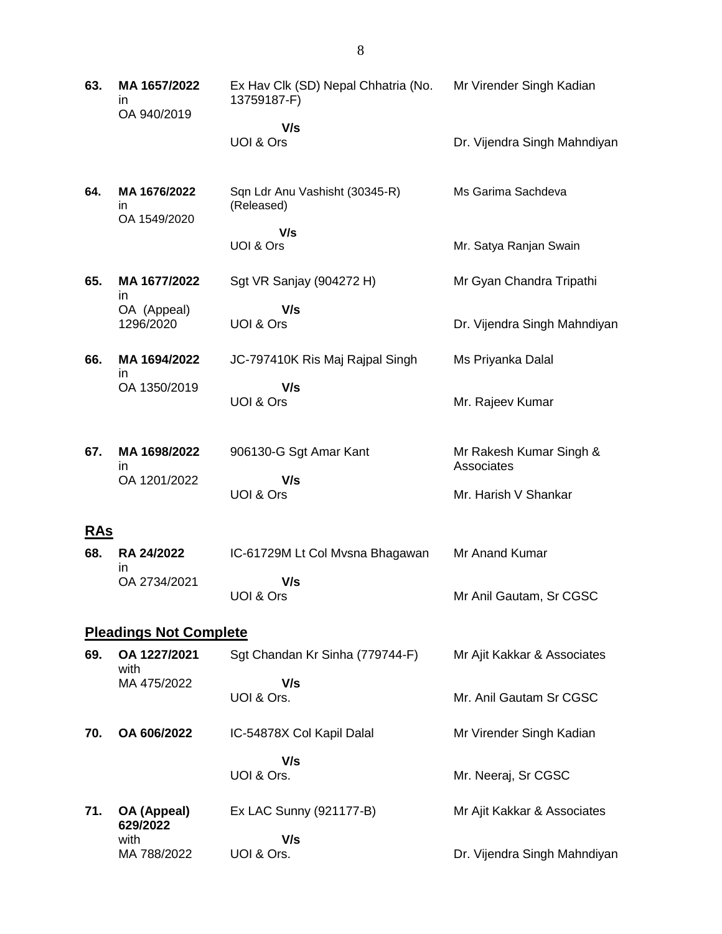| 63.        | MA 1657/2022<br>in<br>OA 940/2019  | Ex Hav Clk (SD) Nepal Chhatria (No.<br>13759187-F) | Mr Virender Singh Kadian              |
|------------|------------------------------------|----------------------------------------------------|---------------------------------------|
|            |                                    | V/s                                                |                                       |
|            |                                    | UOI & Ors                                          | Dr. Vijendra Singh Mahndiyan          |
| 64.        | MA 1676/2022<br>in<br>OA 1549/2020 | Sqn Ldr Anu Vashisht (30345-R)<br>(Released)       | Ms Garima Sachdeva                    |
|            |                                    | V/s<br>UOI & Ors                                   | Mr. Satya Ranjan Swain                |
| 65.        | MA 1677/2022<br>ın                 | Sgt VR Sanjay (904272 H)                           | Mr Gyan Chandra Tripathi              |
|            | OA (Appeal)<br>1296/2020           | V/s<br>UOI & Ors                                   | Dr. Vijendra Singh Mahndiyan          |
| 66.        | MA 1694/2022<br>ın                 | JC-797410K Ris Maj Rajpal Singh                    | Ms Priyanka Dalal                     |
|            | OA 1350/2019                       | V/s<br>UOI & Ors                                   | Mr. Rajeev Kumar                      |
| 67.        | MA 1698/2022<br>ın                 | 906130-G Sgt Amar Kant                             | Mr Rakesh Kumar Singh &<br>Associates |
|            | OA 1201/2022                       | V/s<br>UOI & Ors                                   | Mr. Harish V Shankar                  |
| <u>RAs</u> |                                    |                                                    |                                       |
| 68.        | <b>RA 24/2022</b><br>ın            | IC-61729M Lt Col Mvsna Bhagawan                    | Mr Anand Kumar                        |
|            | OA 2734/2021                       | V/s<br>UOI & Ors                                   | Mr Anil Gautam, Sr CGSC               |
|            | <b>Pleadings Not Complete</b>      |                                                    |                                       |
| 69.        | OA 1227/2021<br>with               | Sgt Chandan Kr Sinha (779744-F)                    | Mr Ajit Kakkar & Associates           |
|            | MA 475/2022                        | V/s<br>UOI & Ors.                                  | Mr. Anil Gautam Sr CGSC               |
| 70.        | OA 606/2022                        | IC-54878X Col Kapil Dalal                          | Mr Virender Singh Kadian              |
|            |                                    | V/s                                                |                                       |
|            |                                    | UOI & Ors.                                         | Mr. Neeraj, Sr CGSC                   |
| 71.        | OA (Appeal)<br>629/2022            | Ex LAC Sunny (921177-B)                            | Mr Ajit Kakkar & Associates           |
|            | with                               | V/s                                                |                                       |
|            | MA 788/2022                        | UOI & Ors.                                         | Dr. Vijendra Singh Mahndiyan          |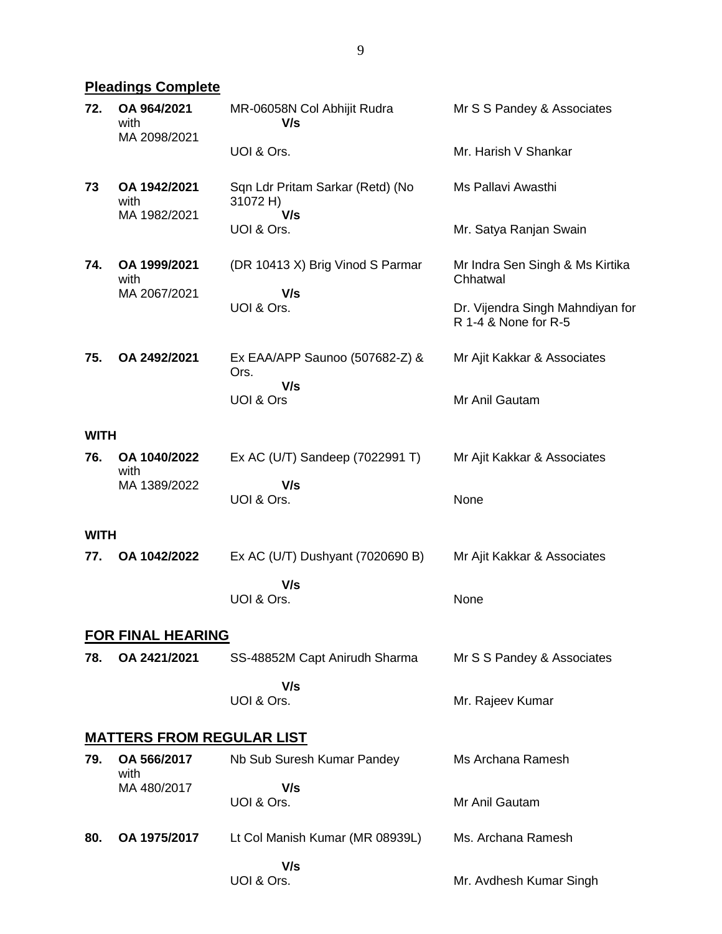# **Pleadings Complete**

| 72.         | OA 964/2021<br>with<br>MA 2098/2021  | MR-06058N Col Abhijit Rudra<br>V/s                  | Mr S S Pandey & Associates                               |
|-------------|--------------------------------------|-----------------------------------------------------|----------------------------------------------------------|
|             |                                      | UOI & Ors.                                          | Mr. Harish V Shankar                                     |
| 73          | OA 1942/2021<br>with<br>MA 1982/2021 | Sqn Ldr Pritam Sarkar (Retd) (No<br>31072 H)<br>V/s | Ms Pallavi Awasthi                                       |
|             |                                      | UOI & Ors.                                          | Mr. Satya Ranjan Swain                                   |
| 74.         | OA 1999/2021<br>with                 | (DR 10413 X) Brig Vinod S Parmar<br>V/s             | Mr Indra Sen Singh & Ms Kirtika<br>Chhatwal              |
|             | MA 2067/2021                         | UOI & Ors.                                          | Dr. Vijendra Singh Mahndiyan for<br>R 1-4 & None for R-5 |
| 75.         | OA 2492/2021                         | Ex EAA/APP Saunoo (507682-Z) &<br>Ors.              | Mr Ajit Kakkar & Associates                              |
|             |                                      | V/s<br>UOI & Ors                                    | Mr Anil Gautam                                           |
| <b>WITH</b> |                                      |                                                     |                                                          |
| 76.         | OA 1040/2022<br>with                 | Ex AC (U/T) Sandeep (7022991 T)                     | Mr Ajit Kakkar & Associates                              |
|             | MA 1389/2022                         | V/s<br>UOI & Ors.                                   | None                                                     |
| <b>WITH</b> |                                      |                                                     |                                                          |
| 77.         | OA 1042/2022                         | Ex AC (U/T) Dushyant (7020690 B)                    | Mr Ajit Kakkar & Associates                              |
|             |                                      | V/s<br>UOI & Ors.                                   | None                                                     |
|             | <b>FOR FINAL HEARING</b>             |                                                     |                                                          |
| 78.         | OA 2421/2021                         | SS-48852M Capt Anirudh Sharma                       | Mr S S Pandey & Associates                               |
|             |                                      | V/s<br>UOI & Ors.                                   | Mr. Rajeev Kumar                                         |
|             | <b>MATTERS FROM REGULAR LIST</b>     |                                                     |                                                          |
| 79.         | OA 566/2017<br>with                  | Nb Sub Suresh Kumar Pandey                          | Ms Archana Ramesh                                        |
|             | MA 480/2017                          | V/s<br>UOI & Ors.                                   | Mr Anil Gautam                                           |
| 80.         | OA 1975/2017                         | Lt Col Manish Kumar (MR 08939L)                     | Ms. Archana Ramesh                                       |
|             |                                      | V/s<br>UOI & Ors.                                   | Mr. Avdhesh Kumar Singh                                  |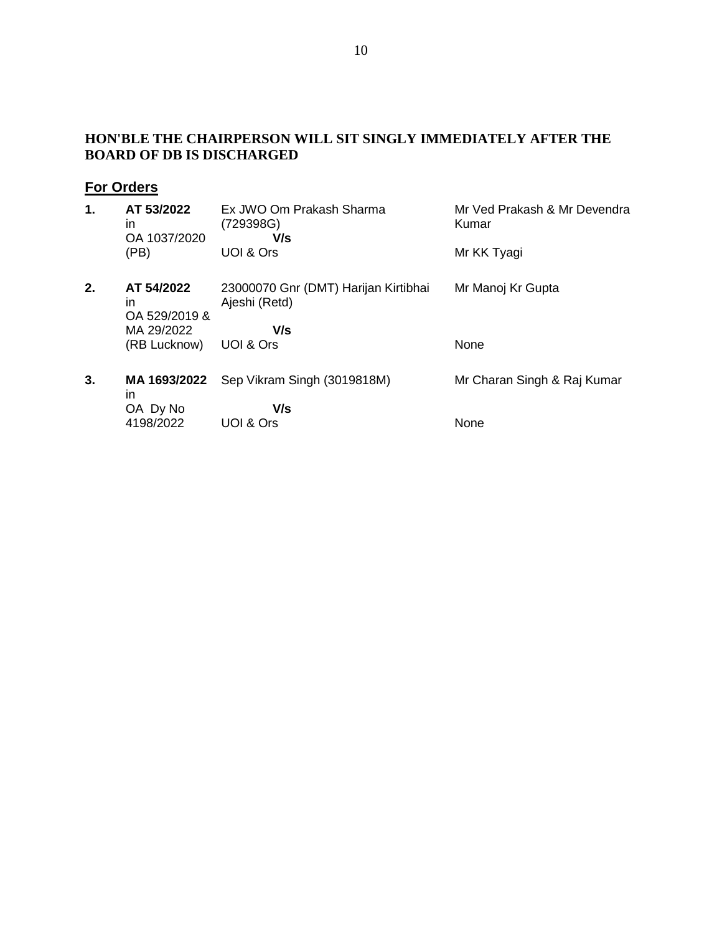### **HON'BLE THE CHAIRPERSON WILL SIT SINGLY IMMEDIATELY AFTER THE BOARD OF DB IS DISCHARGED**

# **For Orders**

| 1. | AT 53/2022<br>ın<br>OA 1037/2020  | Ex JWO Om Prakash Sharma<br>(729398G)<br>V/s          | Mr Ved Prakash & Mr Devendra<br>Kumar |
|----|-----------------------------------|-------------------------------------------------------|---------------------------------------|
|    | (PB)                              | UOI & Ors                                             | Mr KK Tyagi                           |
| 2. | AT 54/2022<br>in<br>OA 529/2019 & | 23000070 Gnr (DMT) Harijan Kirtibhai<br>Ajeshi (Retd) | Mr Manoj Kr Gupta                     |
|    | MA 29/2022                        | V/s                                                   |                                       |
|    | (RB Lucknow)                      | UOI & Ors                                             | None                                  |
| 3. | MA 1693/2022<br>in                | Sep Vikram Singh (3019818M)                           | Mr Charan Singh & Raj Kumar           |
|    | OA Dy No                          | V/s                                                   |                                       |
|    | 4198/2022                         | UOI & Ors                                             | None                                  |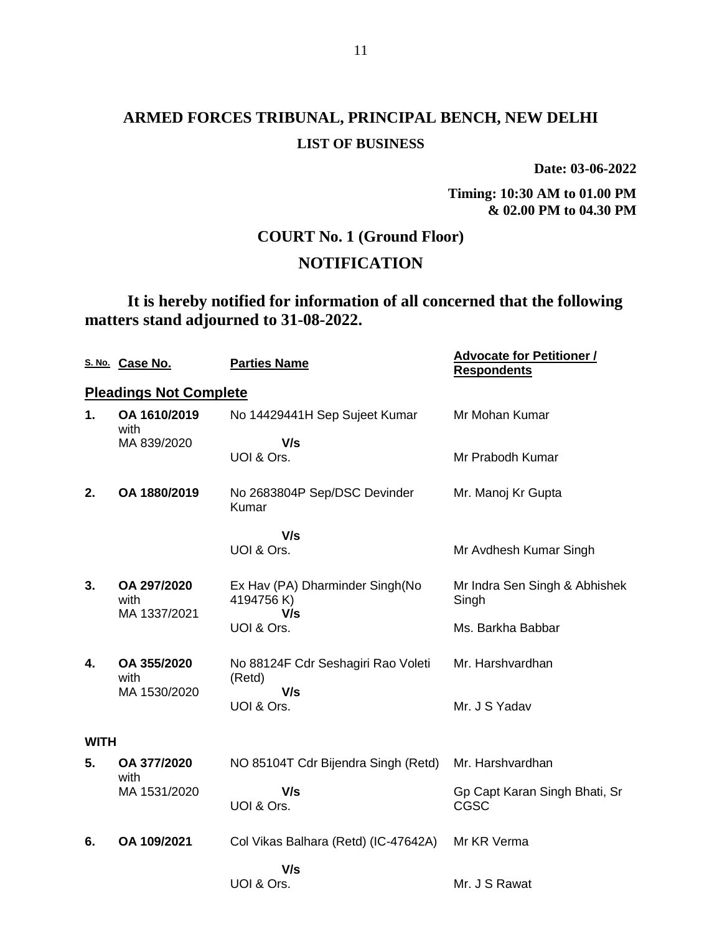**Date: 03-06-2022**

**Timing: 10:30 AM to 01.00 PM & 02.00 PM to 04.30 PM**

## **COURT No. 1 (Ground Floor)**

## **NOTIFICATION**

**It is hereby notified for information of all concerned that the following matters stand adjourned to 31-08-2022.**

|             | S. No. Case No.                     | <b>Parties Name</b>                                 | <b>Advocate for Petitioner /</b><br><b>Respondents</b> |
|-------------|-------------------------------------|-----------------------------------------------------|--------------------------------------------------------|
|             | <b>Pleadings Not Complete</b>       |                                                     |                                                        |
| 1.          | OA 1610/2019<br>with                | No 14429441H Sep Sujeet Kumar                       | Mr Mohan Kumar                                         |
|             | MA 839/2020                         | V/s<br>UOI & Ors.                                   | Mr Prabodh Kumar                                       |
| 2.          | OA 1880/2019                        | No 2683804P Sep/DSC Devinder<br>Kumar               | Mr. Manoj Kr Gupta                                     |
|             |                                     | V/s                                                 |                                                        |
|             |                                     | UOI & Ors.                                          | Mr Avdhesh Kumar Singh                                 |
| 3.          | OA 297/2020<br>with<br>MA 1337/2021 | Ex Hav (PA) Dharminder Singh(No<br>4194756K)<br>V/s | Mr Indra Sen Singh & Abhishek<br>Singh                 |
|             |                                     | UOI & Ors.                                          | Ms. Barkha Babbar                                      |
| 4.          | OA 355/2020<br>with                 | No 88124F Cdr Seshagiri Rao Voleti<br>(Retd)        | Mr. Harshvardhan                                       |
|             | MA 1530/2020                        | V/s<br>UOI & Ors.                                   | Mr. J S Yadav                                          |
| <b>WITH</b> |                                     |                                                     |                                                        |
| 5.          | OA 377/2020<br>with                 | NO 85104T Cdr Bijendra Singh (Retd)                 | Mr. Harshvardhan                                       |
|             | MA 1531/2020                        | V/s<br>UOI & Ors.                                   | Gp Capt Karan Singh Bhati, Sr<br>CGSC                  |
|             |                                     |                                                     |                                                        |
| 6.          | OA 109/2021                         | Col Vikas Balhara (Retd) (IC-47642A)                | Mr KR Verma                                            |
|             |                                     | V/s<br>UOI & Ors.                                   | Mr. J S Rawat                                          |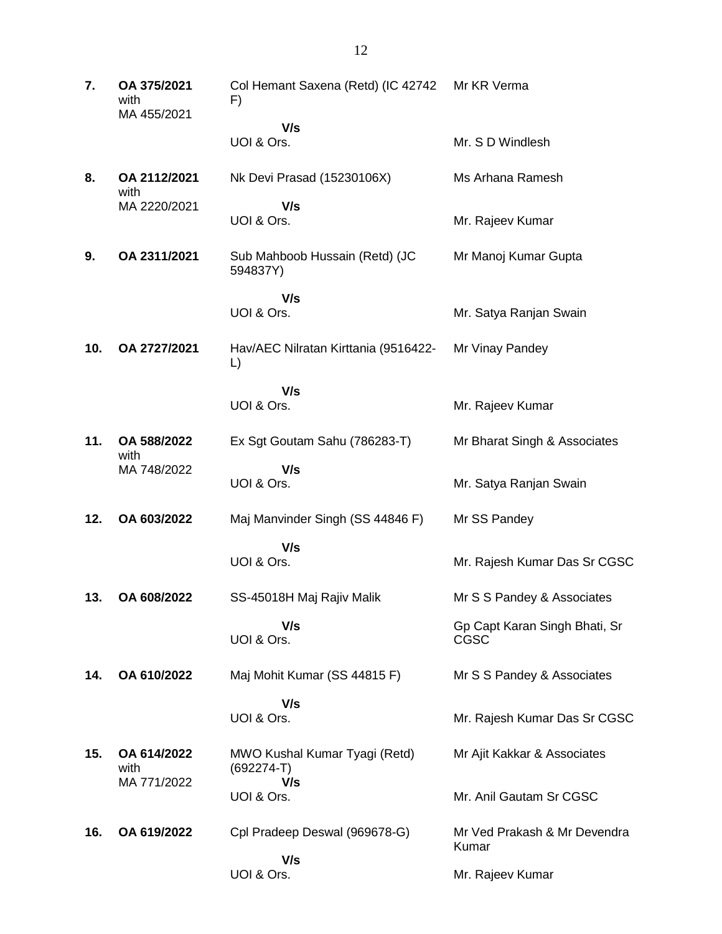**7. OA 375/2021** with MA 455/2021 Col Hemant Saxena (Retd) (IC 42742 F)  **V/s** UOI & Ors. Mr KR Verma Mr. S D Windlesh **8. OA 2112/2021** with MA 2220/2021 Nk Devi Prasad (15230106X)  **V/s** UOI & Ors. Ms Arhana Ramesh Mr. Rajeev Kumar **9. OA 2311/2021** Sub Mahboob Hussain (Retd) (JC 594837Y)  **V/s** UOI & Ors. Mr Manoj Kumar Gupta Mr. Satya Ranjan Swain **10. OA 2727/2021** Hav/AEC Nilratan Kirttania (9516422- L)  **V/s** UOI & Ors. Mr Vinay Pandey Mr. Rajeev Kumar **11. OA 588/2022** with MA 748/2022 Ex Sgt Goutam Sahu (786283-T)  **V/s** UOI & Ors. Mr Bharat Singh & Associates Mr. Satya Ranjan Swain **12. OA 603/2022** Maj Manvinder Singh (SS 44846 F)  **V/s** UOI & Ors. Mr SS Pandey Mr. Rajesh Kumar Das Sr CGSC **13. OA 608/2022** SS-45018H Maj Rajiv Malik  **V/s** UOI & Ors. Mr S S Pandey & Associates Gp Capt Karan Singh Bhati, Sr CGSC **14. OA 610/2022** Maj Mohit Kumar (SS 44815 F)  **V/s** UOI & Ors. Mr S S Pandey & Associates Mr. Rajesh Kumar Das Sr CGSC **15. OA 614/2022** with MA 771/2022 MWO Kushal Kumar Tyagi (Retd) (692274-T)  **V/s** UOI & Ors. Mr Ajit Kakkar & Associates Mr. Anil Gautam Sr CGSC **16. OA 619/2022** Cpl Pradeep Deswal (969678-G)  **V/s** UOI & Ors. Mr Ved Prakash & Mr Devendra Kumar Mr. Rajeev Kumar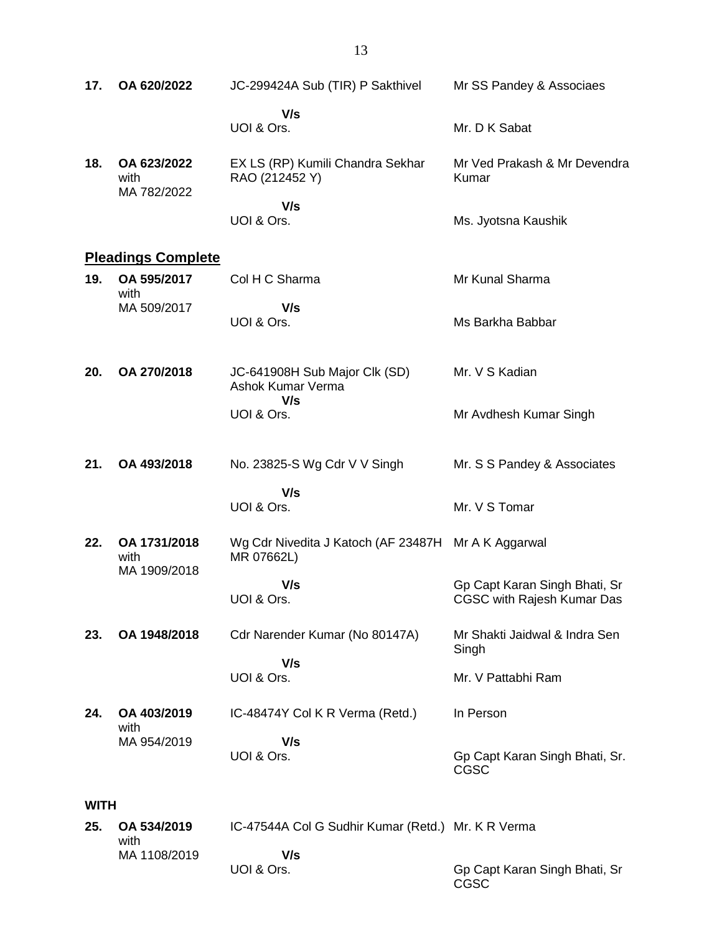| 17.         | OA 620/2022                          | JC-299424A Sub (TIR) P Sakthivel                                  | Mr SS Pandey & Associaes                                    |
|-------------|--------------------------------------|-------------------------------------------------------------------|-------------------------------------------------------------|
|             |                                      | V/s<br>UOI & Ors.                                                 | Mr. D K Sabat                                               |
| 18.         | OA 623/2022<br>with                  | EX LS (RP) Kumili Chandra Sekhar<br>RAO (212452 Y)                | Mr Ved Prakash & Mr Devendra<br>Kumar                       |
|             | MA 782/2022                          | V/s<br>UOI & Ors.                                                 | Ms. Jyotsna Kaushik                                         |
|             | <b>Pleadings Complete</b>            |                                                                   |                                                             |
| 19.         | OA 595/2017<br>with                  | Col H C Sharma                                                    | Mr Kunal Sharma                                             |
|             | MA 509/2017                          | V/s<br>UOI & Ors.                                                 | Ms Barkha Babbar                                            |
| 20.         | OA 270/2018                          | JC-641908H Sub Major Clk (SD)<br>Ashok Kumar Verma                | Mr. V S Kadian                                              |
|             |                                      | V/s<br>UOI & Ors.                                                 | Mr Avdhesh Kumar Singh                                      |
| 21.         | OA 493/2018                          | No. 23825-S Wg Cdr V V Singh                                      | Mr. S S Pandey & Associates                                 |
|             |                                      | V/s<br>UOI & Ors.                                                 | Mr. V S Tomar                                               |
| 22.         | OA 1731/2018<br>with<br>MA 1909/2018 | Wg Cdr Nivedita J Katoch (AF 23487H Mr A K Aggarwal<br>MR 07662L) |                                                             |
|             |                                      | V/s<br>UOI & Ors.                                                 | Gp Capt Karan Singh Bhati, Sr<br>CGSC with Rajesh Kumar Das |
| 23.         | OA 1948/2018                         | Cdr Narender Kumar (No 80147A)                                    | Mr Shakti Jaidwal & Indra Sen<br>Singh                      |
|             |                                      | V/s<br>UOI & Ors.                                                 | Mr. V Pattabhi Ram                                          |
| 24.         | OA 403/2019<br>with                  | IC-48474Y Col K R Verma (Retd.)                                   | In Person                                                   |
|             | MA 954/2019                          | V/s<br>UOI & Ors.                                                 | Gp Capt Karan Singh Bhati, Sr.<br>CGSC                      |
| <b>WITH</b> |                                      |                                                                   |                                                             |
| 25.         | OA 534/2019<br>with                  | IC-47544A Col G Sudhir Kumar (Retd.) Mr. K R Verma                |                                                             |

MA 1108/2019

 **V/s**

UOI & Ors.

Gp Capt Karan Singh Bhati, Sr CGSC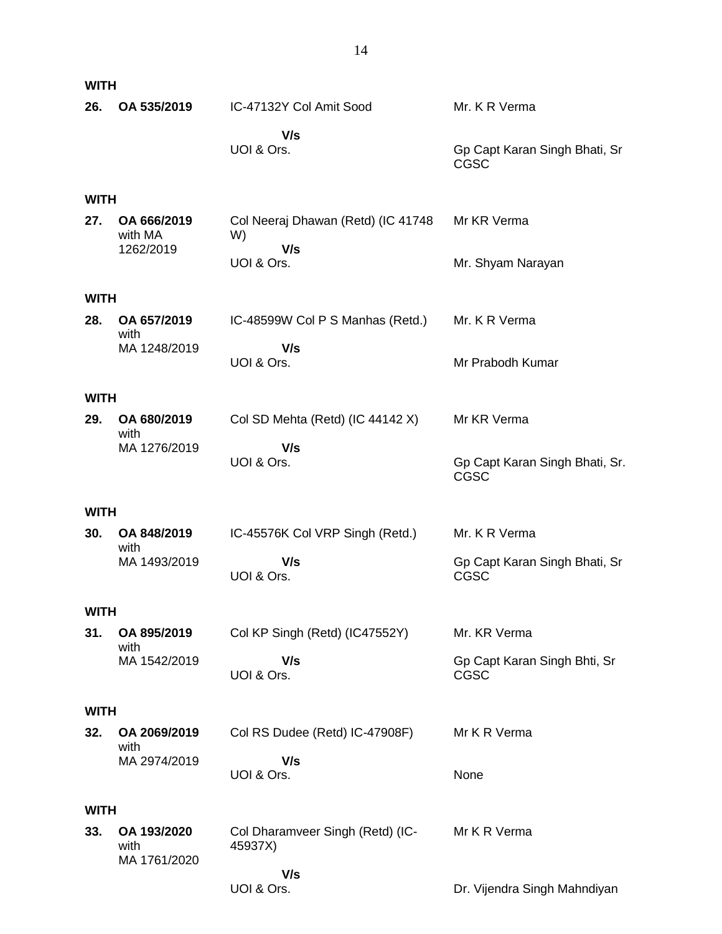| <b>WITH</b> |                                     |                                                 |                                              |
|-------------|-------------------------------------|-------------------------------------------------|----------------------------------------------|
| 26.         | OA 535/2019                         | IC-47132Y Col Amit Sood                         | Mr. K R Verma                                |
|             |                                     | V/s<br>UOI & Ors.                               | Gp Capt Karan Singh Bhati, Sr<br><b>CGSC</b> |
| <b>WITH</b> |                                     |                                                 |                                              |
| 27.         | OA 666/2019<br>with MA<br>1262/2019 | Col Neeraj Dhawan (Retd) (IC 41748<br>W)<br>V/s | Mr KR Verma                                  |
|             |                                     | UOI & Ors.                                      | Mr. Shyam Narayan                            |
| <b>WITH</b> |                                     |                                                 |                                              |
| 28.         | OA 657/2019<br>with                 | IC-48599W Col P S Manhas (Retd.)                | Mr. K R Verma                                |
|             | MA 1248/2019                        | V/s<br>UOI & Ors.                               | Mr Prabodh Kumar                             |
| <b>WITH</b> |                                     |                                                 |                                              |
| 29.         | OA 680/2019<br>with                 | Col SD Mehta (Retd) (IC 44142 X)                | Mr KR Verma                                  |
|             | MA 1276/2019                        | V/s<br>UOI & Ors.                               | Gp Capt Karan Singh Bhati, Sr.<br>CGSC       |
| <b>WITH</b> |                                     |                                                 |                                              |
| 30.         | OA 848/2019<br>with                 | IC-45576K Col VRP Singh (Retd.)                 | Mr. K R Verma                                |
|             | MA 1493/2019                        | V/s<br>UOI & Ors.                               | Gp Capt Karan Singh Bhati, Sr<br><b>CGSC</b> |
| <b>WITH</b> |                                     |                                                 |                                              |
| 31.         | OA 895/2019<br>with                 | Col KP Singh (Retd) (IC47552Y)                  | Mr. KR Verma                                 |
|             | MA 1542/2019                        | V/s<br>UOI & Ors.                               | Gp Capt Karan Singh Bhti, Sr<br><b>CGSC</b>  |
| <b>WITH</b> |                                     |                                                 |                                              |
| 32.         | OA 2069/2019<br>with                | Col RS Dudee (Retd) IC-47908F)                  | Mr K R Verma                                 |
|             | MA 2974/2019                        | V/s<br>UOI & Ors.                               | None                                         |
| <b>WITH</b> |                                     |                                                 |                                              |
| 33.         | OA 193/2020<br>with<br>MA 1761/2020 | Col Dharamveer Singh (Retd) (IC-<br>45937X)     | Mr K R Verma                                 |
|             |                                     | V/s<br>UOI & Ors.                               | Dr. Vijendra Singh Mahndiyan                 |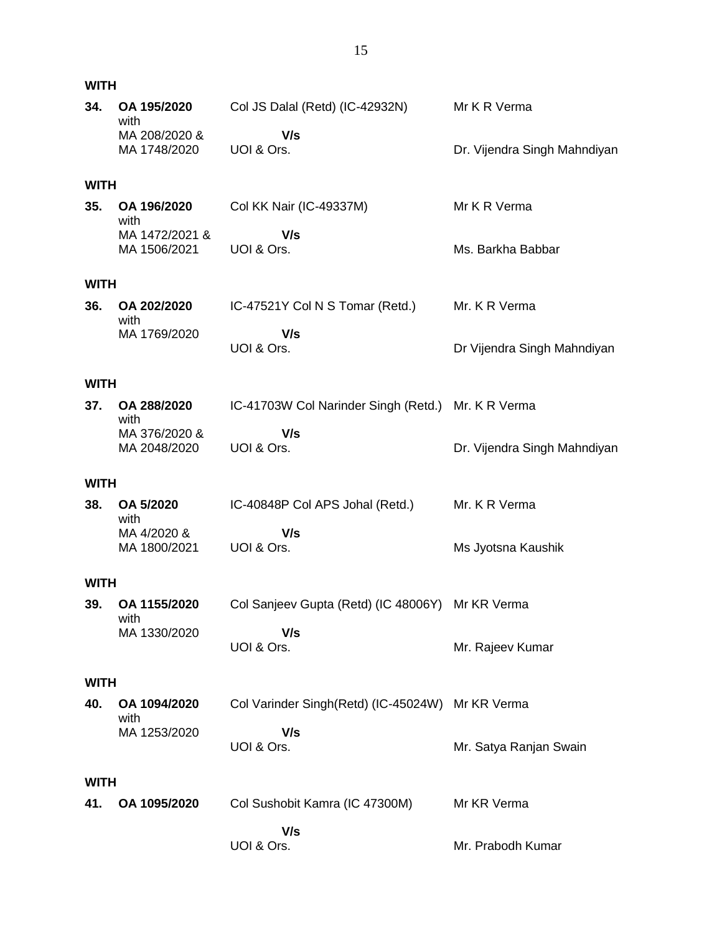| <b>WITH</b> |                                       |                                                    |                              |
|-------------|---------------------------------------|----------------------------------------------------|------------------------------|
| 34.         | OA 195/2020<br>with                   | Col JS Dalal (Retd) (IC-42932N)                    | Mr K R Verma                 |
|             | MA 208/2020 &<br>MA 1748/2020         | V/s<br>UOI & Ors.                                  | Dr. Vijendra Singh Mahndiyan |
| <b>WITH</b> |                                       |                                                    |                              |
| 35.         | OA 196/2020<br>with                   | Col KK Nair (IC-49337M)                            | Mr K R Verma                 |
|             | MA 1472/2021 &<br>MA 1506/2021        | V/s<br>UOI & Ors.                                  | Ms. Barkha Babbar            |
| <b>WITH</b> |                                       |                                                    |                              |
| 36.         | OA 202/2020                           | IC-47521Y Col N S Tomar (Retd.)                    | Mr. K R Verma                |
|             | with<br>MA 1769/2020                  | V/s<br>UOI & Ors.                                  | Dr Vijendra Singh Mahndiyan  |
| <b>WITH</b> |                                       |                                                    |                              |
| 37.         | OA 288/2020                           | IC-41703W Col Narinder Singh (Retd.) Mr. K R Verma |                              |
|             | with<br>MA 376/2020 &<br>MA 2048/2020 | V/s<br>UOI & Ors.                                  | Dr. Vijendra Singh Mahndiyan |
| <b>WITH</b> |                                       |                                                    |                              |
| 38.         | OA 5/2020<br>with                     | IC-40848P Col APS Johal (Retd.)                    | Mr. K R Verma                |
|             | MA 4/2020 &<br>MA 1800/2021           | V/s<br>UOI & Ors.                                  | Ms Jyotsna Kaushik           |
| <b>WITH</b> |                                       |                                                    |                              |
| 39.         | OA 1155/2020                          | Col Sanjeev Gupta (Retd) (IC 48006Y) Mr KR Verma   |                              |
|             | with<br>MA 1330/2020                  | V/s<br>UOI & Ors.                                  | Mr. Rajeev Kumar             |
| <b>WITH</b> |                                       |                                                    |                              |
| 40.         | OA 1094/2020<br>with                  | Col Varinder Singh(Retd) (IC-45024W) Mr KR Verma   |                              |
|             | MA 1253/2020                          | V/s<br>UOI & Ors.                                  | Mr. Satya Ranjan Swain       |
| <b>WITH</b> |                                       |                                                    |                              |
| 41.         | OA 1095/2020                          | Col Sushobit Kamra (IC 47300M)                     | Mr KR Verma                  |
|             |                                       | V/s<br>UOI & Ors.                                  | Mr. Prabodh Kumar            |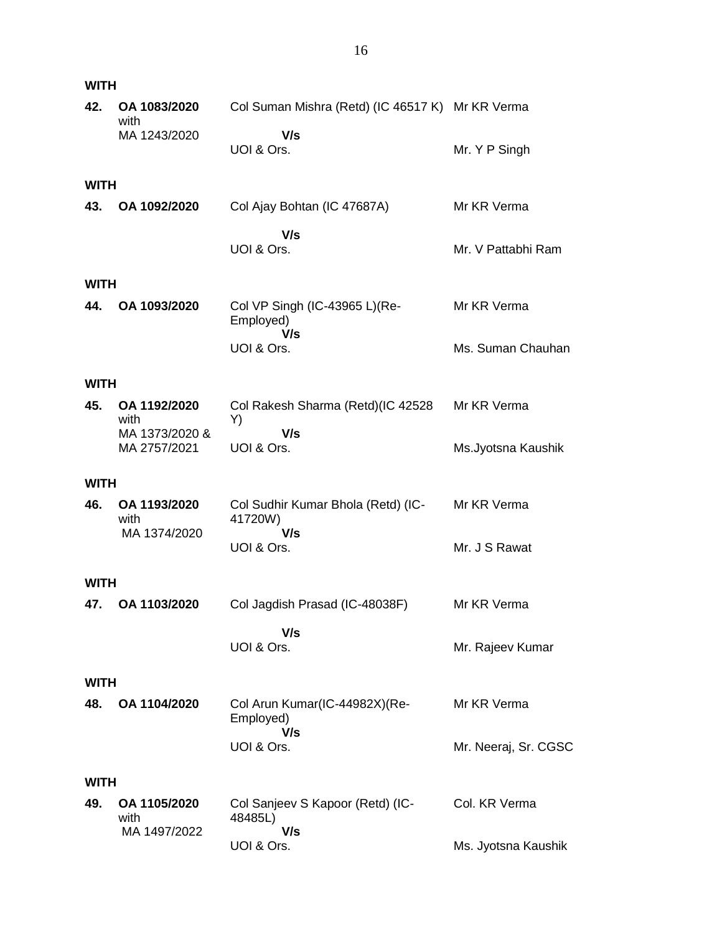| <b>WITH</b> |                                        |                                                    |                      |
|-------------|----------------------------------------|----------------------------------------------------|----------------------|
| 42.         | OA 1083/2020                           | Col Suman Mishra (Retd) (IC 46517 K) Mr KR Verma   |                      |
|             | with<br>MA 1243/2020                   | V/s<br>UOI & Ors.                                  | Mr. Y P Singh        |
| <b>WITH</b> |                                        |                                                    |                      |
| 43.         | OA 1092/2020                           | Col Ajay Bohtan (IC 47687A)                        | Mr KR Verma          |
|             |                                        | V/s<br>UOI & Ors.                                  | Mr. V Pattabhi Ram   |
| <b>WITH</b> |                                        |                                                    |                      |
| 44.         | OA 1093/2020                           | Col VP Singh (IC-43965 L)(Re-<br>Employed)<br>V/s  | Mr KR Verma          |
|             |                                        | UOI & Ors.                                         | Ms. Suman Chauhan    |
| <b>WITH</b> |                                        |                                                    |                      |
| 45.         | OA 1192/2020<br>with<br>MA 1373/2020 & | Col Rakesh Sharma (Retd)(IC 42528<br>Y)<br>V/s     | Mr KR Verma          |
|             | MA 2757/2021                           | UOI & Ors.                                         | Ms.Jyotsna Kaushik   |
| <b>WITH</b> |                                        |                                                    |                      |
| 46.         | OA 1193/2020<br>with                   | Col Sudhir Kumar Bhola (Retd) (IC-<br>41720W)      | Mr KR Verma          |
|             | MA 1374/2020                           | V/s<br>UOI & Ors.                                  | Mr. J S Rawat        |
| <b>WITH</b> |                                        |                                                    |                      |
|             | 47. OA 1103/2020                       | Col Jagdish Prasad (IC-48038F)                     | Mr KR Verma          |
|             |                                        | V/s<br>UOI & Ors.                                  | Mr. Rajeev Kumar     |
| <b>WITH</b> |                                        |                                                    |                      |
| 48.         | OA 1104/2020                           | Col Arun Kumar(IC-44982X)(Re-<br>Employed)<br>V/s  | Mr KR Verma          |
|             |                                        | UOI & Ors.                                         | Mr. Neeraj, Sr. CGSC |
| <b>WITH</b> |                                        |                                                    |                      |
| 49.         | OA 1105/2020<br>with<br>MA 1497/2022   | Col Sanjeev S Kapoor (Retd) (IC-<br>48485L)<br>V/s | Col. KR Verma        |
|             |                                        | UOI & Ors.                                         | Ms. Jyotsna Kaushik  |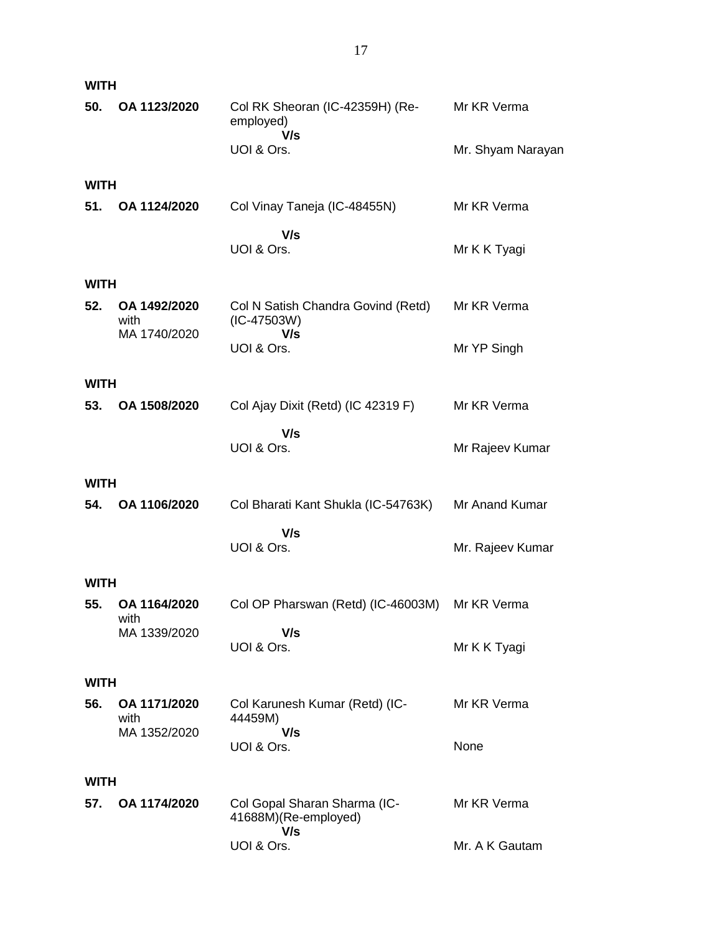| <b>WITH</b> |                                      |                                                            |                   |
|-------------|--------------------------------------|------------------------------------------------------------|-------------------|
| 50.         | OA 1123/2020                         | Col RK Sheoran (IC-42359H) (Re-<br>employed)<br>V/s        | Mr KR Verma       |
|             |                                      | UOI & Ors.                                                 | Mr. Shyam Narayan |
| <b>WITH</b> |                                      |                                                            |                   |
| 51.         | OA 1124/2020                         | Col Vinay Taneja (IC-48455N)                               | Mr KR Verma       |
|             |                                      | V/s<br>UOI & Ors.                                          | Mr K K Tyagi      |
| <b>WITH</b> |                                      |                                                            |                   |
| 52.         | OA 1492/2020<br>with<br>MA 1740/2020 | Col N Satish Chandra Govind (Retd)<br>$(IC-47503W)$<br>V/s | Mr KR Verma       |
|             |                                      | UOI & Ors.                                                 | Mr YP Singh       |
| <b>WITH</b> |                                      |                                                            |                   |
| 53.         | OA 1508/2020                         | Col Ajay Dixit (Retd) (IC 42319 F)                         | Mr KR Verma       |
|             |                                      | V/s<br>UOI & Ors.                                          | Mr Rajeev Kumar   |
| <b>WITH</b> |                                      |                                                            |                   |
| 54.         | OA 1106/2020                         | Col Bharati Kant Shukla (IC-54763K)                        | Mr Anand Kumar    |
|             |                                      | V/s<br>UOI & Ors.                                          | Mr. Rajeev Kumar  |
| <b>WITH</b> |                                      |                                                            |                   |
| 55.         | OA 1164/2020<br>with                 | Col OP Pharswan (Retd) (IC-46003M) Mr KR Verma             |                   |
|             | MA 1339/2020                         | V/s<br>UOI & Ors.                                          | Mr K K Tyagi      |
| <b>WITH</b> |                                      |                                                            |                   |
| 56.         | OA 1171/2020<br>with                 | Col Karunesh Kumar (Retd) (IC-<br>44459M)                  | Mr KR Verma       |
|             | MA 1352/2020                         | V/s<br>UOI & Ors.                                          | None              |
| <b>WITH</b> |                                      |                                                            |                   |
| 57.         | OA 1174/2020                         | Col Gopal Sharan Sharma (IC-<br>41688M)(Re-employed)       | Mr KR Verma       |
|             |                                      | V/s<br>UOI & Ors.                                          | Mr. A K Gautam    |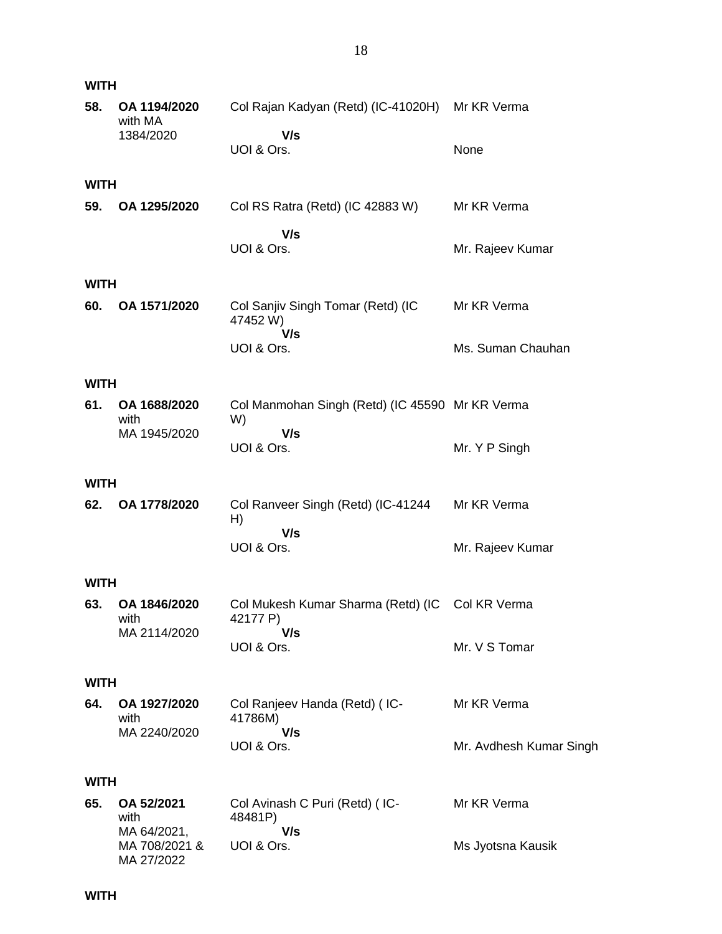| <b>WITH</b> |                                            |                                                             |                         |
|-------------|--------------------------------------------|-------------------------------------------------------------|-------------------------|
| 58.         | OA 1194/2020<br>with MA<br>1384/2020       | Col Rajan Kadyan (Retd) (IC-41020H)<br>V/s                  | Mr KR Verma             |
|             |                                            | UOI & Ors.                                                  | None                    |
| <b>WITH</b> |                                            |                                                             |                         |
| 59.         | OA 1295/2020                               | Col RS Ratra (Retd) (IC 42883 W)                            | Mr KR Verma             |
|             |                                            | V/s<br>UOI & Ors.                                           | Mr. Rajeev Kumar        |
| <b>WITH</b> |                                            |                                                             |                         |
| 60.         | OA 1571/2020                               | Col Sanjiv Singh Tomar (Retd) (IC<br>47452W)<br>V/s         | Mr KR Verma             |
|             |                                            | UOI & Ors.                                                  | Ms. Suman Chauhan       |
| <b>WITH</b> |                                            |                                                             |                         |
| 61.         | OA 1688/2020<br>with                       | Col Manmohan Singh (Retd) (IC 45590 Mr KR Verma<br>W)       |                         |
|             | MA 1945/2020                               | V/s<br>UOI & Ors.                                           | Mr. Y P Singh           |
| <b>WITH</b> |                                            |                                                             |                         |
| 62.         | OA 1778/2020                               | Col Ranveer Singh (Retd) (IC-41244<br>H)                    | Mr KR Verma             |
|             |                                            | V/s<br>UOI & Ors.                                           | Mr. Rajeev Kumar        |
| <b>WITH</b> |                                            |                                                             |                         |
| 63.         | OA 1846/2020<br>with                       | Col Mukesh Kumar Sharma (Retd) (IC Col KR Verma<br>42177 P) |                         |
|             | MA 2114/2020                               | V/s<br>UOI & Ors.                                           | Mr. V S Tomar           |
| <b>WITH</b> |                                            |                                                             |                         |
| 64.         | OA 1927/2020<br>with                       | Col Ranjeev Handa (Retd) (IC-<br>41786M)                    | Mr KR Verma             |
|             | MA 2240/2020                               | V/s<br>UOI & Ors.                                           | Mr. Avdhesh Kumar Singh |
| <b>WITH</b> |                                            |                                                             |                         |
| 65.         | OA 52/2021<br>with                         | Col Avinash C Puri (Retd) (IC-<br>48481P)                   | Mr KR Verma             |
|             | MA 64/2021,<br>MA 708/2021 &<br>MA 27/2022 | V/s<br>UOI & Ors.                                           | Ms Jyotsna Kausik       |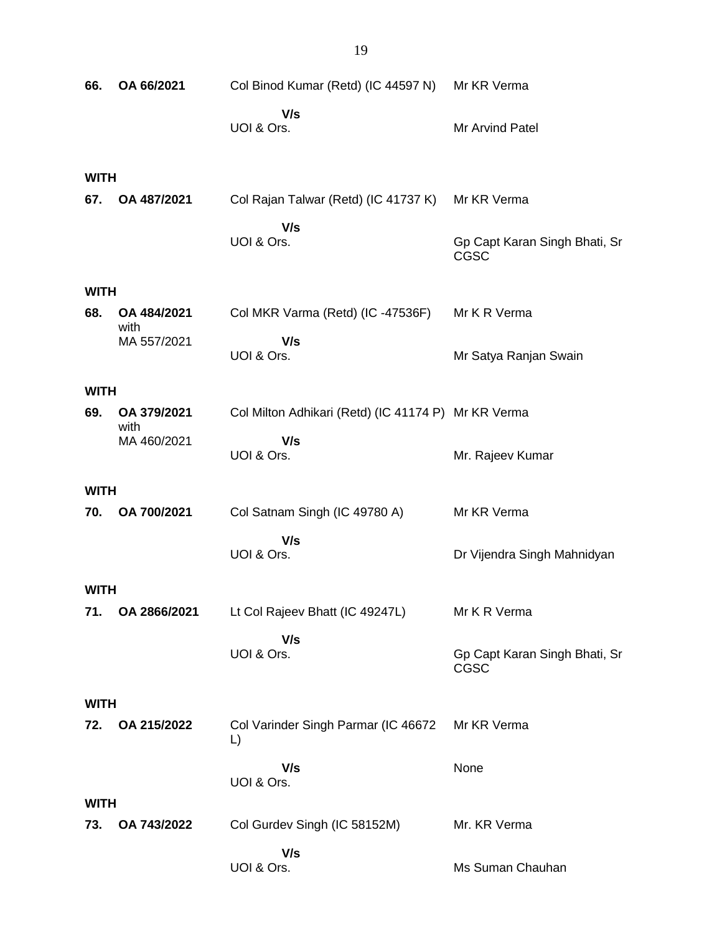| 66.         | OA 66/2021          | Col Binod Kumar (Retd) (IC 44597 N)                 | Mr KR Verma                                  |
|-------------|---------------------|-----------------------------------------------------|----------------------------------------------|
|             |                     | V/s<br>UOI & Ors.                                   | Mr Arvind Patel                              |
| <b>WITH</b> |                     |                                                     |                                              |
| 67.         | OA 487/2021         | Col Rajan Talwar (Retd) (IC 41737 K)                | Mr KR Verma                                  |
|             |                     | V/s<br>UOI & Ors.                                   | Gp Capt Karan Singh Bhati, Sr<br><b>CGSC</b> |
| <b>WITH</b> |                     |                                                     |                                              |
| 68.         | OA 484/2021<br>with | Col MKR Varma (Retd) (IC -47536F)                   | Mr K R Verma                                 |
|             | MA 557/2021         | V/s<br>UOI & Ors.                                   | Mr Satya Ranjan Swain                        |
| <b>WITH</b> |                     |                                                     |                                              |
| 69.         | OA 379/2021<br>with | Col Milton Adhikari (Retd) (IC 41174 P) Mr KR Verma |                                              |
|             | MA 460/2021         | V/s<br>UOI & Ors.                                   | Mr. Rajeev Kumar                             |
| <b>WITH</b> |                     |                                                     |                                              |
| 70.         | OA 700/2021         | Col Satnam Singh (IC 49780 A)                       | Mr KR Verma                                  |
|             |                     | V/s<br>UOI & Ors.                                   | Dr Vijendra Singh Mahnidyan                  |
| <b>WITH</b> |                     |                                                     |                                              |
| 71.         | OA 2866/2021        | Lt Col Rajeev Bhatt (IC 49247L)                     | Mr K R Verma                                 |
|             |                     | V/s<br>UOI & Ors.                                   | Gp Capt Karan Singh Bhati, Sr<br>CGSC        |
| <b>WITH</b> |                     |                                                     |                                              |
| 72.         | OA 215/2022         | Col Varinder Singh Parmar (IC 46672<br>L)           | Mr KR Verma                                  |
|             |                     | V/s<br>UOI & Ors.                                   | None                                         |
| <b>WITH</b> |                     |                                                     |                                              |
| 73.         | OA 743/2022         | Col Gurdev Singh (IC 58152M)                        | Mr. KR Verma                                 |
|             |                     | V/s<br>UOI & Ors.                                   | Ms Suman Chauhan                             |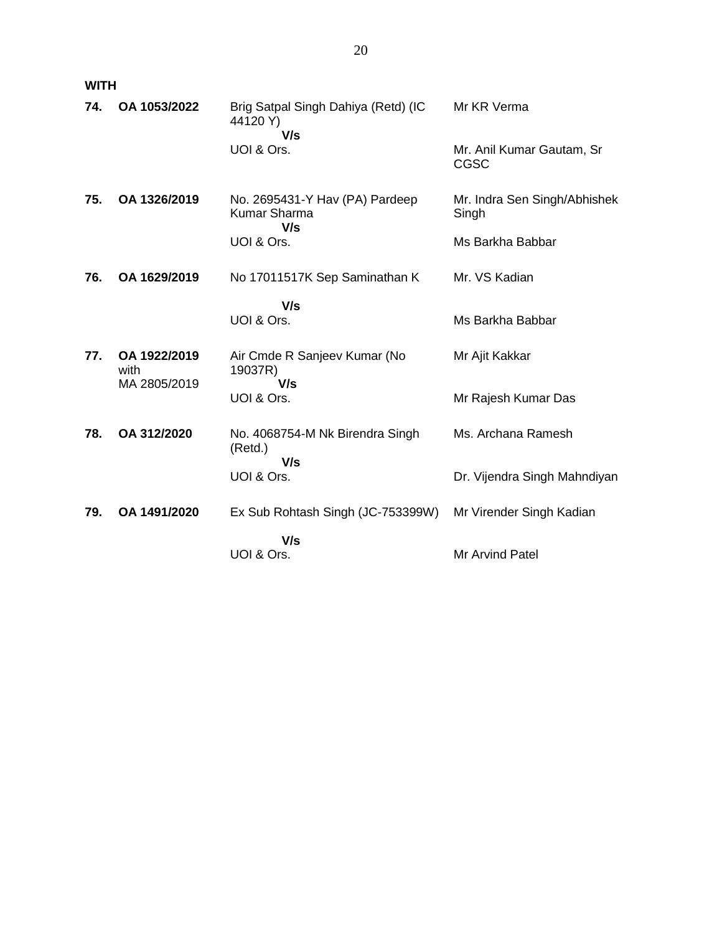**WITH**

| 74. | OA 1053/2022         | Brig Satpal Singh Dahiya (Retd) (IC<br>44120 Y)<br>V/s       | Mr KR Verma                           |
|-----|----------------------|--------------------------------------------------------------|---------------------------------------|
|     |                      | UOI & Ors.                                                   | Mr. Anil Kumar Gautam, Sr<br>CGSC     |
| 75. | OA 1326/2019         | No. 2695431-Y Hav (PA) Pardeep<br><b>Kumar Sharma</b><br>V/s | Mr. Indra Sen Singh/Abhishek<br>Singh |
|     |                      | UOI & Ors.                                                   | Ms Barkha Babbar                      |
| 76. | OA 1629/2019         | No 17011517K Sep Saminathan K                                | Mr. VS Kadian                         |
|     |                      | V/s<br>UOI & Ors.                                            | Ms Barkha Babbar                      |
| 77. | OA 1922/2019<br>with | Air Cmde R Sanjeev Kumar (No<br>19037R)<br>V/s               | Mr Ajit Kakkar                        |
|     | MA 2805/2019         | UOI & Ors.                                                   | Mr Rajesh Kumar Das                   |
| 78. | OA 312/2020          | No. 4068754-M Nk Birendra Singh<br>(Retd.)<br>V/s            | Ms. Archana Ramesh                    |
|     |                      | UOI & Ors.                                                   | Dr. Vijendra Singh Mahndiyan          |
| 79. | OA 1491/2020         | Ex Sub Rohtash Singh (JC-753399W)                            | Mr Virender Singh Kadian              |
|     |                      | V/s<br>UOI & Ors.                                            | Mr Arvind Patel                       |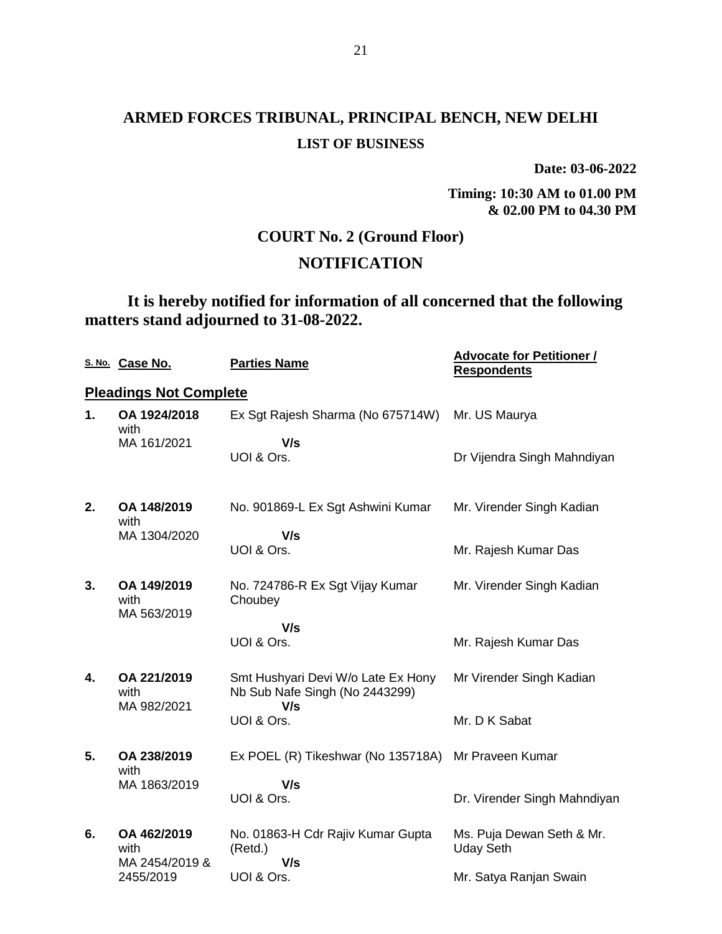**Date: 03-06-2022**

**Timing: 10:30 AM to 01.00 PM & 02.00 PM to 04.30 PM**

### **COURT No. 2 (Ground Floor)**

## **NOTIFICATION**

## **It is hereby notified for information of all concerned that the following matters stand adjourned to 31-08-2022.**

|    | S. No. Case No.                       | <b>Parties Name</b>                                                  | <b>Advocate for Petitioner /</b><br><b>Respondents</b> |
|----|---------------------------------------|----------------------------------------------------------------------|--------------------------------------------------------|
|    | <b>Pleadings Not Complete</b>         |                                                                      |                                                        |
| 1. | OA 1924/2018<br>with                  | Ex Sgt Rajesh Sharma (No 675714W)                                    | Mr. US Maurya                                          |
|    | MA 161/2021                           | V/s<br>UOI & Ors.                                                    | Dr Vijendra Singh Mahndiyan                            |
| 2. | OA 148/2019<br>with                   | No. 901869-L Ex Sgt Ashwini Kumar                                    | Mr. Virender Singh Kadian                              |
|    | MA 1304/2020                          | V/s<br>UOI & Ors.                                                    | Mr. Rajesh Kumar Das                                   |
| 3. | OA 149/2019<br>with<br>MA 563/2019    | No. 724786-R Ex Sgt Vijay Kumar<br>Choubey                           | Mr. Virender Singh Kadian                              |
|    |                                       | V/s<br>UOI & Ors.                                                    | Mr. Rajesh Kumar Das                                   |
| 4. | OA 221/2019<br>with                   | Smt Hushyari Devi W/o Late Ex Hony<br>Nb Sub Nafe Singh (No 2443299) | Mr Virender Singh Kadian                               |
|    | MA 982/2021                           | V/s<br>UOI & Ors.                                                    | Mr. D K Sabat                                          |
| 5. | OA 238/2019<br>with                   | Ex POEL (R) Tikeshwar (No 135718A)                                   | Mr Praveen Kumar                                       |
|    | MA 1863/2019                          | V/s<br>UOI & Ors.                                                    | Dr. Virender Singh Mahndiyan                           |
| 6. | OA 462/2019<br>with<br>MA 2454/2019 & | No. 01863-H Cdr Rajiv Kumar Gupta<br>(Retd.)<br>V/s                  | Ms. Puja Dewan Seth & Mr.<br><b>Uday Seth</b>          |
|    | 2455/2019                             | UOI & Ors.                                                           | Mr. Satya Ranjan Swain                                 |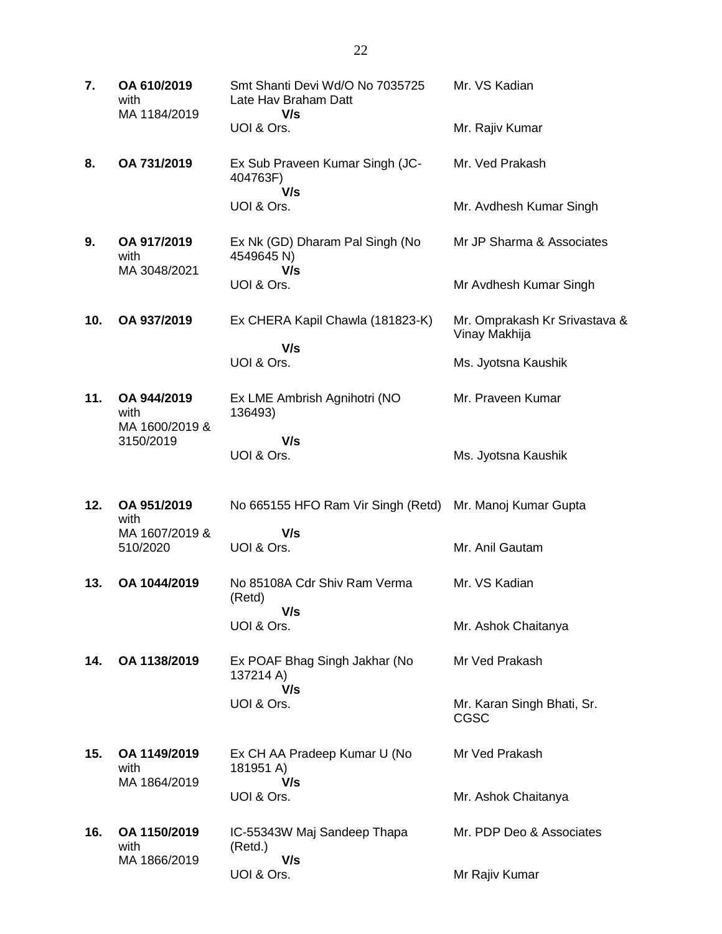| 7.  | OA 610/2019<br>with<br>MA 1184/2019   | Smt Shanti Devi Wd/O No 7035725<br>Late Hav Braham Datt<br>V/s | Mr. VS Kadian                                  |
|-----|---------------------------------------|----------------------------------------------------------------|------------------------------------------------|
|     |                                       | UOI & Ors.                                                     | Mr. Rajiv Kumar                                |
| 8.  | OA 731/2019                           | Ex Sub Praveen Kumar Singh (JC-<br>404763F)<br>V/s             | Mr. Ved Prakash                                |
|     |                                       | UOI & Ors.                                                     | Mr. Avdhesh Kumar Singh                        |
| 9.  | OA 917/2019<br>with<br>MA 3048/2021   | Ex Nk (GD) Dharam Pal Singh (No<br>4549645 N)<br>V/s           | Mr JP Sharma & Associates                      |
|     |                                       | UOI & Ors.                                                     | Mr Avdhesh Kumar Singh                         |
| 10. | OA 937/2019                           | Ex CHERA Kapil Chawla (181823-K)<br>V/s                        | Mr. Omprakash Kr Srivastava &<br>Vinay Makhija |
|     |                                       | UOI & Ors.                                                     | Ms. Jyotsna Kaushik                            |
| 11. | OA 944/2019<br>with<br>MA 1600/2019 & | Ex LME Ambrish Agnihotri (NO<br>136493)                        | Mr. Praveen Kumar                              |
|     | 3150/2019                             | V/s<br>UOI & Ors.                                              | Ms. Jyotsna Kaushik                            |
| 12. | OA 951/2019<br>with                   | No 665155 HFO Ram Vir Singh (Retd)                             | Mr. Manoj Kumar Gupta                          |
|     | MA 1607/2019 &<br>510/2020            | V/s<br>UOI & Ors.                                              | Mr. Anil Gautam                                |
| 13. | OA 1044/2019                          | No 85108A Cdr Shiv Ram Verma<br>(Retd)<br>V/s                  | Mr. VS Kadian                                  |
|     |                                       | UOI & Ors.                                                     | Mr. Ashok Chaitanya                            |
| 14. | OA 1138/2019                          | Ex POAF Bhag Singh Jakhar (No<br>137214 A)<br>V/s              | Mr Ved Prakash                                 |
|     |                                       | UOI & Ors.                                                     | Mr. Karan Singh Bhati, Sr.<br><b>CGSC</b>      |
| 15. | OA 1149/2019<br>with<br>MA 1864/2019  | Ex CH AA Pradeep Kumar U (No<br>181951 A)<br>V/s               | Mr Ved Prakash                                 |
|     |                                       | UOI & Ors.                                                     | Mr. Ashok Chaitanya                            |
| 16. | OA 1150/2019<br>with<br>MA 1866/2019  | IC-55343W Maj Sandeep Thapa<br>(Retd.)<br>V/s                  | Mr. PDP Deo & Associates                       |
|     |                                       | UOI & Ors.                                                     | Mr Rajiv Kumar                                 |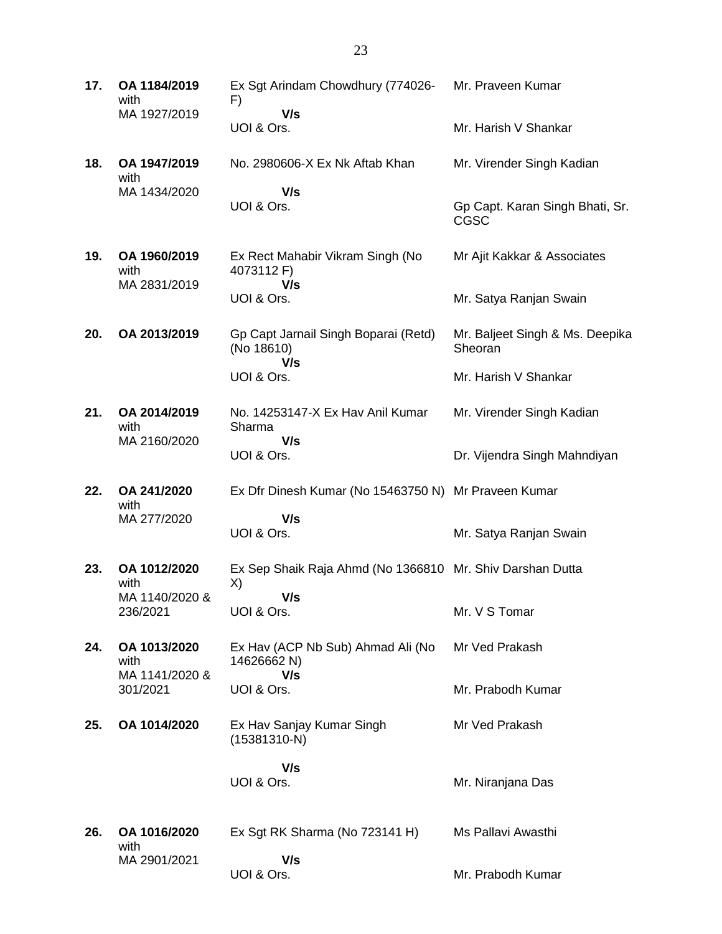**17. OA 1184/2019** with MA 1927/2019 Ex Sgt Arindam Chowdhury (774026- F)  **V/s** UOI & Ors. Mr. Praveen Kumar Mr. Harish V Shankar **18. OA 1947/2019** with MA 1434/2020 No. 2980606-X Ex Nk Aftab Khan  **V/s** UOI & Ors. Mr. Virender Singh Kadian Gp Capt. Karan Singh Bhati, Sr. CGSC **19. OA 1960/2019** with MA 2831/2019 Ex Rect Mahabir Vikram Singh (No 4073112 F)  **V/s** UOI & Ors. Mr Ajit Kakkar & Associates Mr. Satya Ranjan Swain **20. OA 2013/2019** Gp Capt Jarnail Singh Boparai (Retd) (No 18610)  **V/s** UOI & Ors. Mr. Baljeet Singh & Ms. Deepika **Sheoran** Mr. Harish V Shankar **21. OA 2014/2019** with MA 2160/2020 No. 14253147-X Ex Hav Anil Kumar Sharma  **V/s** UOI & Ors. Mr. Virender Singh Kadian Dr. Vijendra Singh Mahndiyan **22. OA 241/2020** with MA 277/2020 Ex Dfr Dinesh Kumar (No 15463750 N) Mr Praveen Kumar  **V/s** UOI & Ors. Mr. Satya Ranjan Swain **23. OA 1012/2020** with MA 1140/2020 & 236/2021 Ex Sep Shaik Raja Ahmd (No 1366810 Mr. Shiv Darshan Dutta X)  **V/s** UOI & Ors. Mr. V S Tomar **24. OA 1013/2020** with MA 1141/2020 & 301/2021 Ex Hav (ACP Nb Sub) Ahmad Ali (No 14626662 N)  **V/s** UOI & Ors. Mr Ved Prakash Mr. Prabodh Kumar **25. OA 1014/2020** Ex Hav Sanjay Kumar Singh (15381310-N)  **V/s** UOI & Ors. Mr Ved Prakash Mr. Niranjana Das **26. OA 1016/2020** with MA 2901/2021 Ex Sgt RK Sharma (No 723141 H)  **V/s** UOI & Ors. Ms Pallavi Awasthi Mr. Prabodh Kumar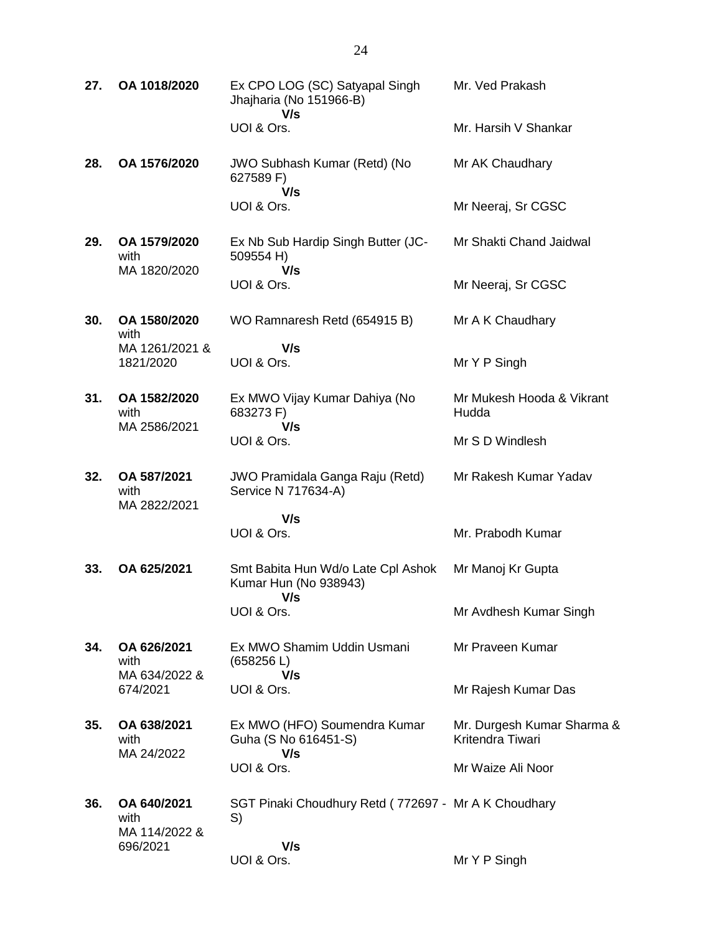| 27. | OA 1018/2020                         | Ex CPO LOG (SC) Satyapal Singh<br>Jhajharia (No 151966-B)<br>V/s   | Mr. Ved Prakash                                |
|-----|--------------------------------------|--------------------------------------------------------------------|------------------------------------------------|
|     |                                      | UOI & Ors.                                                         | Mr. Harsih V Shankar                           |
| 28. | OA 1576/2020                         | JWO Subhash Kumar (Retd) (No<br>627589 F)<br>V/s                   | Mr AK Chaudhary                                |
|     |                                      | UOI & Ors.                                                         | Mr Neeraj, Sr CGSC                             |
| 29. | OA 1579/2020<br>with<br>MA 1820/2020 | Ex Nb Sub Hardip Singh Butter (JC-<br>509554 H)<br>V/s             | Mr Shakti Chand Jaidwal                        |
|     |                                      | UOI & Ors.                                                         | Mr Neeraj, Sr CGSC                             |
| 30. | OA 1580/2020<br>with                 | WO Ramnaresh Retd (654915 B)                                       | Mr A K Chaudhary                               |
|     | MA 1261/2021 &<br>1821/2020          | V/s<br>UOI & Ors.                                                  | Mr Y P Singh                                   |
| 31. | OA 1582/2020<br>with<br>MA 2586/2021 | Ex MWO Vijay Kumar Dahiya (No<br>683273 F)<br>V/s                  | Mr Mukesh Hooda & Vikrant<br>Hudda             |
|     |                                      | UOI & Ors.                                                         | Mr S D Windlesh                                |
| 32. | OA 587/2021<br>with<br>MA 2822/2021  | <b>JWO Pramidala Ganga Raju (Retd)</b><br>Service N 717634-A)      | Mr Rakesh Kumar Yadav                          |
|     |                                      | V/s<br>UOI & Ors.                                                  | Mr. Prabodh Kumar                              |
| 33. | OA 625/2021                          | Smt Babita Hun Wd/o Late Cpl Ashok<br>Kumar Hun (No 938943)<br>V/s | Mr Manoj Kr Gupta                              |
|     |                                      | UOI & Ors.                                                         | Mr Avdhesh Kumar Singh                         |
| 34. | OA 626/2021<br>with<br>MA 634/2022 & | Ex MWO Shamim Uddin Usmani<br>(658256 L)<br>V/s                    | Mr Praveen Kumar                               |
|     | 674/2021                             | UOI & Ors.                                                         | Mr Rajesh Kumar Das                            |
| 35. | OA 638/2021<br>with<br>MA 24/2022    | Ex MWO (HFO) Soumendra Kumar<br>Guha (S No 616451-S)<br>V/s        | Mr. Durgesh Kumar Sharma &<br>Kritendra Tiwari |
|     |                                      | UOI & Ors.                                                         | Mr Waize Ali Noor                              |
| 36. | OA 640/2021<br>with<br>MA 114/2022 & | SGT Pinaki Choudhury Retd (772697 - Mr A K Choudhary<br>S)         |                                                |
|     | 696/2021                             | V/s<br>UOI & Ors.                                                  | Mr Y P Singh                                   |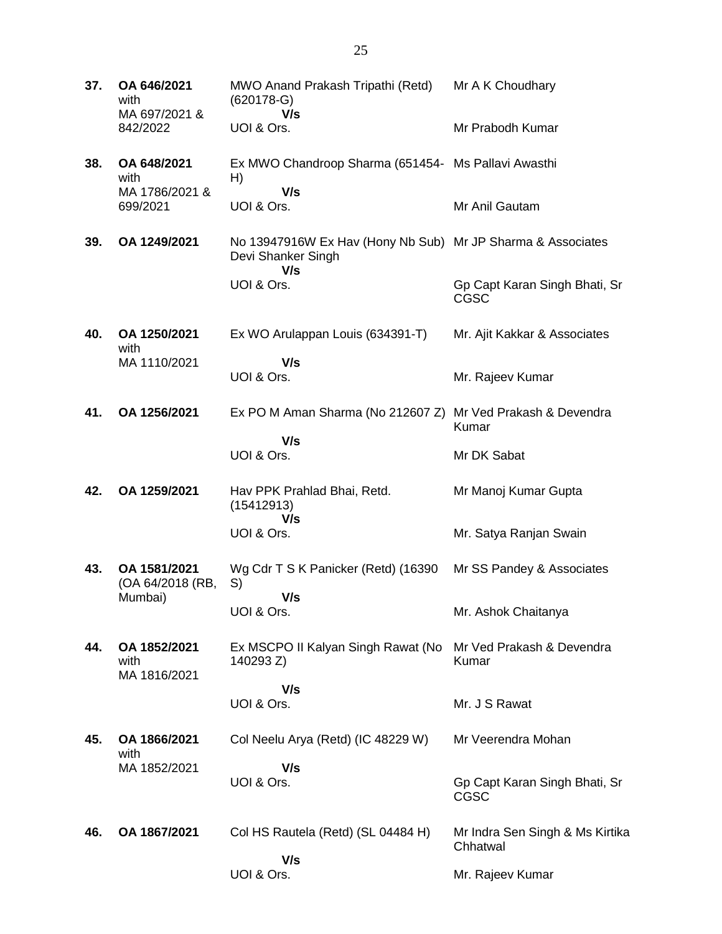| 37. | OA 646/2021<br>with<br>MA 697/2021 &<br>842/2022 | MWO Anand Prakash Tripathi (Retd)<br>$(620178-G)$<br>V/s                                 | Mr A K Choudhary                             |
|-----|--------------------------------------------------|------------------------------------------------------------------------------------------|----------------------------------------------|
|     |                                                  | UOI & Ors.                                                                               | Mr Prabodh Kumar                             |
| 38. | OA 648/2021<br>with<br>MA 1786/2021 &            | Ex MWO Chandroop Sharma (651454- Ms Pallavi Awasthi<br>H)<br>V/s                         |                                              |
|     | 699/2021                                         | UOI & Ors.                                                                               | Mr Anil Gautam                               |
| 39. | OA 1249/2021                                     | No 13947916W Ex Hav (Hony Nb Sub) Mr JP Sharma & Associates<br>Devi Shanker Singh<br>V/s |                                              |
|     |                                                  | UOI & Ors.                                                                               | Gp Capt Karan Singh Bhati, Sr<br><b>CGSC</b> |
| 40. | OA 1250/2021<br>with                             | Ex WO Arulappan Louis (634391-T)                                                         | Mr. Ajit Kakkar & Associates                 |
|     | MA 1110/2021                                     | V/s<br>UOI & Ors.                                                                        | Mr. Rajeev Kumar                             |
| 41. | OA 1256/2021                                     | Ex PO M Aman Sharma (No 212607 Z) Mr Ved Prakash & Devendra                              | Kumar                                        |
|     |                                                  | V/s<br>UOI & Ors.                                                                        | Mr DK Sabat                                  |
| 42. | OA 1259/2021                                     | Hav PPK Prahlad Bhai, Retd.<br>(15412913)<br>V/s                                         | Mr Manoj Kumar Gupta                         |
|     |                                                  | UOI & Ors.                                                                               | Mr. Satya Ranjan Swain                       |
| 43. | OA 1581/2021<br>(OA 64/2018 (RB,<br>Mumbai)      | Wg Cdr T S K Panicker (Retd) (16390<br>S)<br>V/s                                         | Mr SS Pandey & Associates                    |
|     |                                                  | UOI & Ors.                                                                               | Mr. Ashok Chaitanya                          |
| 44. | OA 1852/2021<br>with<br>MA 1816/2021             | Ex MSCPO II Kalyan Singh Rawat (No<br>140293 Z)                                          | Mr Ved Prakash & Devendra<br>Kumar           |
|     |                                                  | V/s<br>UOI & Ors.                                                                        | Mr. J S Rawat                                |
| 45. | OA 1866/2021<br>with                             | Col Neelu Arya (Retd) (IC 48229 W)                                                       | Mr Veerendra Mohan                           |
|     | MA 1852/2021                                     | V/s<br>UOI & Ors.                                                                        | Gp Capt Karan Singh Bhati, Sr<br><b>CGSC</b> |
| 46. | OA 1867/2021                                     | Col HS Rautela (Retd) (SL 04484 H)                                                       | Mr Indra Sen Singh & Ms Kirtika<br>Chhatwal  |
|     |                                                  | V/s<br>UOI & Ors.                                                                        | Mr. Rajeev Kumar                             |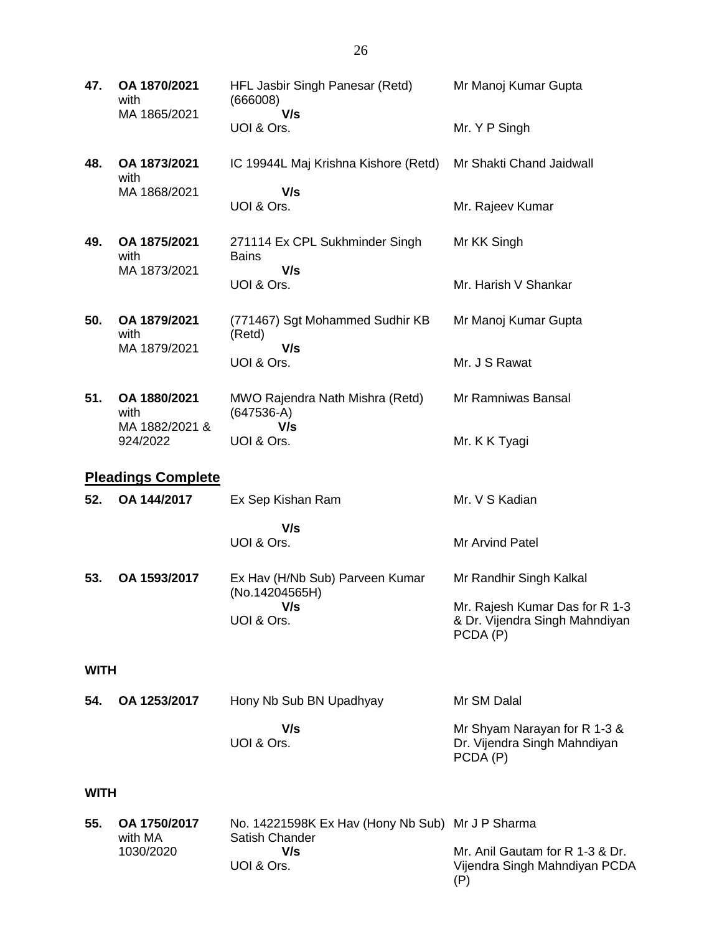| 47.         | OA 1870/2021<br>with                 | HFL Jasbir Singh Panesar (Retd)<br>(666008)                               | Mr Manoj Kumar Gupta                                                         |
|-------------|--------------------------------------|---------------------------------------------------------------------------|------------------------------------------------------------------------------|
|             | MA 1865/2021                         | V/s<br>UOI & Ors.                                                         | Mr. Y P Singh                                                                |
| 48.         | OA 1873/2021<br>with                 | IC 19944L Maj Krishna Kishore (Retd)                                      | Mr Shakti Chand Jaidwall                                                     |
|             | MA 1868/2021                         | V/s<br>UOI & Ors.                                                         | Mr. Rajeev Kumar                                                             |
| 49.         | OA 1875/2021<br>with                 | 271114 Ex CPL Sukhminder Singh<br><b>Bains</b>                            | Mr KK Singh                                                                  |
|             | MA 1873/2021                         | V/s<br>UOI & Ors.                                                         | Mr. Harish V Shankar                                                         |
| 50.         | OA 1879/2021<br>with<br>MA 1879/2021 | (771467) Sgt Mohammed Sudhir KB<br>(Retd)<br>V/s                          | Mr Manoj Kumar Gupta                                                         |
|             |                                      | UOI & Ors.                                                                | Mr. J S Rawat                                                                |
| 51.         | OA 1880/2021<br>with                 | MWO Rajendra Nath Mishra (Retd)<br>$(647536-A)$                           | Mr Ramniwas Bansal                                                           |
|             | MA 1882/2021 &<br>924/2022           | V/s<br>UOI & Ors.                                                         | Mr. K K Tyagi                                                                |
|             | <b>Pleadings Complete</b>            |                                                                           |                                                                              |
|             |                                      |                                                                           | Mr. V S Kadian                                                               |
| 52.         | OA 144/2017                          | Ex Sep Kishan Ram                                                         |                                                                              |
|             |                                      | V/s                                                                       |                                                                              |
|             |                                      | UOI & Ors.                                                                | Mr Arvind Patel                                                              |
| 53.         | OA 1593/2017                         | Ex Hav (H/Nb Sub) Parveen Kumar<br>(No.14204565H)                         | Mr Randhir Singh Kalkal                                                      |
|             |                                      | V/s<br>UOI & Ors.                                                         | Mr. Rajesh Kumar Das for R 1-3<br>& Dr. Vijendra Singh Mahndiyan<br>PCDA (P) |
| <b>WITH</b> |                                      |                                                                           |                                                                              |
| 54.         | OA 1253/2017                         | Hony Nb Sub BN Upadhyay                                                   | Mr SM Dalal                                                                  |
|             |                                      | V/s<br>UOI & Ors.                                                         | Mr Shyam Narayan for R 1-3 &<br>Dr. Vijendra Singh Mahndiyan<br>PCDA (P)     |
| <b>WITH</b> |                                      |                                                                           |                                                                              |
| 55.         | OA 1750/2017<br>with MA<br>1030/2020 | No. 14221598K Ex Hav (Hony Nb Sub) Mr J P Sharma<br>Satish Chander<br>V/s | Mr. Anil Gautam for R 1-3 & Dr.                                              |

UOI & Ors.

Vijendra Singh Mahndiyan PCDA

(P)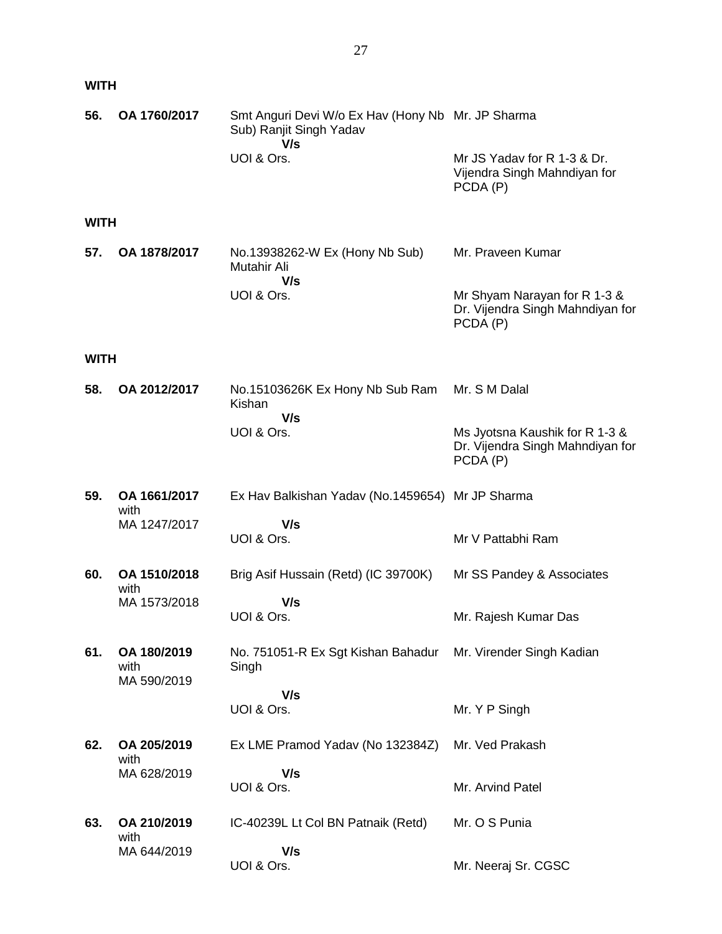| <b>WITH</b> |                                    |                                                                                     |                                                                                |
|-------------|------------------------------------|-------------------------------------------------------------------------------------|--------------------------------------------------------------------------------|
| 56.         | OA 1760/2017                       | Smt Anguri Devi W/o Ex Hav (Hony Nb Mr. JP Sharma<br>Sub) Ranjit Singh Yadav<br>V/s |                                                                                |
|             |                                    | UOI & Ors.                                                                          | Mr JS Yadav for R 1-3 & Dr.<br>Vijendra Singh Mahndiyan for<br>PCDA (P)        |
| <b>WITH</b> |                                    |                                                                                     |                                                                                |
| 57.         | OA 1878/2017                       | No.13938262-W Ex (Hony Nb Sub)<br>Mutahir Ali<br>V/s                                | Mr. Praveen Kumar                                                              |
|             |                                    | UOI & Ors.                                                                          | Mr Shyam Narayan for R 1-3 &<br>Dr. Vijendra Singh Mahndiyan for<br>PCDA (P)   |
| <b>WITH</b> |                                    |                                                                                     |                                                                                |
| 58.         | OA 2012/2017                       | No.15103626K Ex Hony Nb Sub Ram<br>Kishan<br>V/s                                    | Mr. S M Dalal                                                                  |
|             |                                    | UOI & Ors.                                                                          | Ms Jyotsna Kaushik for R 1-3 &<br>Dr. Vijendra Singh Mahndiyan for<br>PCDA (P) |
| 59.         | OA 1661/2017<br>with               | Ex Hav Balkishan Yadav (No.1459654) Mr JP Sharma                                    |                                                                                |
|             | MA 1247/2017                       | V/s<br>UOI & Ors.                                                                   | Mr V Pattabhi Ram                                                              |
| 60.         | OA 1510/2018<br>with               | Brig Asif Hussain (Retd) (IC 39700K)                                                | Mr SS Pandey & Associates                                                      |
|             | MA 1573/2018                       | V/s<br>UOI & Ors.                                                                   | Mr. Rajesh Kumar Das                                                           |
| 61.         | OA 180/2019<br>with<br>MA 590/2019 | No. 751051-R Ex Sgt Kishan Bahadur<br>Singh                                         | Mr. Virender Singh Kadian                                                      |
|             |                                    | V/s<br>UOI & Ors.                                                                   | Mr. Y P Singh                                                                  |
| 62.         | OA 205/2019<br>with                | Ex LME Pramod Yadav (No 132384Z)                                                    | Mr. Ved Prakash                                                                |
|             | MA 628/2019                        | V/s<br>UOI & Ors.                                                                   | Mr. Arvind Patel                                                               |
| 63.         | OA 210/2019<br>with                | IC-40239L Lt Col BN Patnaik (Retd)                                                  | Mr. O S Punia                                                                  |
|             | MA 644/2019                        | V/s<br>UOI & Ors.                                                                   | Mr. Neeraj Sr. CGSC                                                            |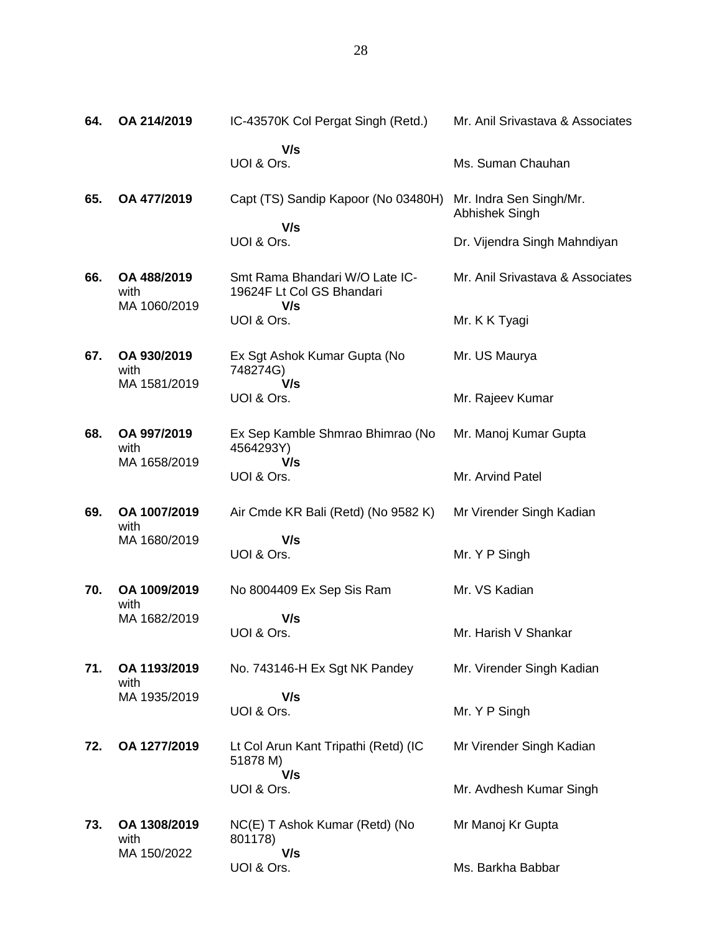| 64. | OA 214/2019                         | IC-43570K Col Pergat Singh (Retd.)                          | Mr. Anil Srivastava & Associates          |
|-----|-------------------------------------|-------------------------------------------------------------|-------------------------------------------|
|     |                                     | V/s<br>UOI & Ors.                                           | Ms. Suman Chauhan                         |
| 65. | OA 477/2019                         | Capt (TS) Sandip Kapoor (No 03480H)                         | Mr. Indra Sen Singh/Mr.<br>Abhishek Singh |
|     |                                     | V/s<br>UOI & Ors.                                           | Dr. Vijendra Singh Mahndiyan              |
| 66. | OA 488/2019<br>with                 | Smt Rama Bhandari W/O Late IC-<br>19624F Lt Col GS Bhandari | Mr. Anil Srivastava & Associates          |
|     | MA 1060/2019                        | V/s<br>UOI & Ors.                                           | Mr. K K Tyagi                             |
| 67. | OA 930/2019<br>with<br>MA 1581/2019 | Ex Sgt Ashok Kumar Gupta (No<br>748274G)<br>V/s             | Mr. US Maurya                             |
|     |                                     | UOI & Ors.                                                  | Mr. Rajeev Kumar                          |
| 68. | OA 997/2019<br>with                 | Ex Sep Kamble Shmrao Bhimrao (No<br>4564293Y)               | Mr. Manoj Kumar Gupta                     |
|     | MA 1658/2019                        | V/s<br>UOI & Ors.                                           | Mr. Arvind Patel                          |
| 69. | OA 1007/2019<br>with                | Air Cmde KR Bali (Retd) (No 9582 K)                         | Mr Virender Singh Kadian                  |
|     | MA 1680/2019                        | V/s<br>UOI & Ors.                                           | Mr. Y P Singh                             |
| 70. | OA 1009/2019<br>with                | No 8004409 Ex Sep Sis Ram                                   | Mr. VS Kadian                             |
|     | MA 1682/2019                        | V/s<br>UOI & Ors.                                           | Mr. Harish V Shankar                      |
| 71. | OA 1193/2019<br>with                | No. 743146-H Ex Sgt NK Pandey                               | Mr. Virender Singh Kadian                 |
|     | MA 1935/2019                        | V/s<br>UOI & Ors.                                           | Mr. Y P Singh                             |
| 72. | OA 1277/2019                        | Lt Col Arun Kant Tripathi (Retd) (IC<br>51878 M)<br>V/s     | Mr Virender Singh Kadian                  |
|     |                                     | UOI & Ors.                                                  | Mr. Avdhesh Kumar Singh                   |
| 73. | OA 1308/2019<br>with<br>MA 150/2022 | NC(E) T Ashok Kumar (Retd) (No<br>801178)<br>V/s            | Mr Manoj Kr Gupta                         |
|     |                                     | UOI & Ors.                                                  | Ms. Barkha Babbar                         |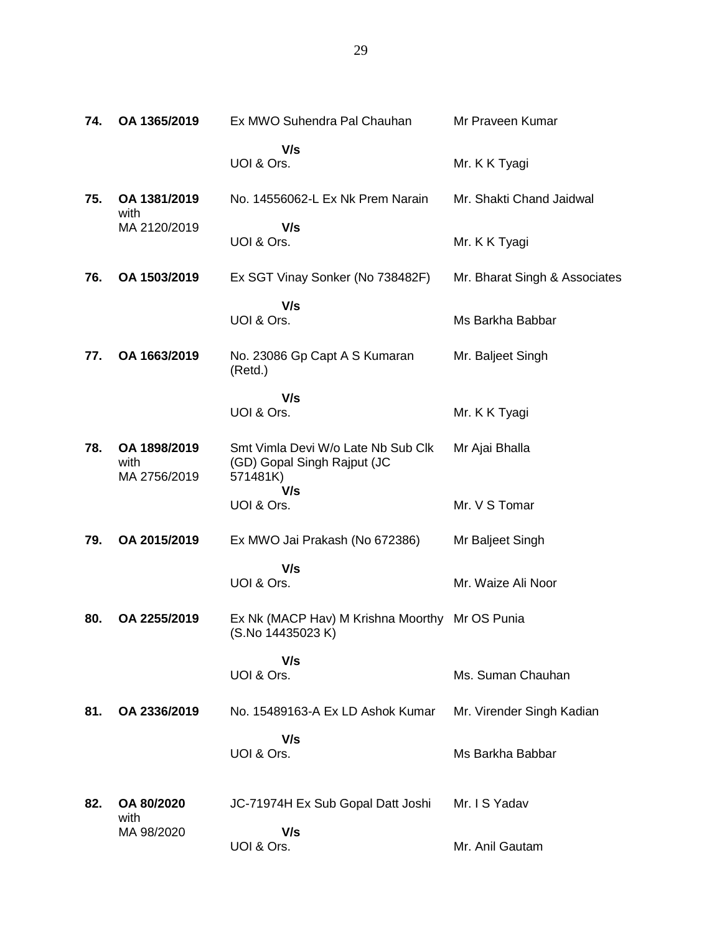| 74. | OA 1365/2019                         | Ex MWO Suhendra Pal Chauhan                                                   | Mr Praveen Kumar              |
|-----|--------------------------------------|-------------------------------------------------------------------------------|-------------------------------|
|     |                                      | V/s<br>UOI & Ors.                                                             | Mr. K K Tyagi                 |
| 75. | OA 1381/2019<br>with                 | No. 14556062-L Ex Nk Prem Narain                                              | Mr. Shakti Chand Jaidwal      |
|     | MA 2120/2019                         | V/s<br>UOI & Ors.                                                             | Mr. K K Tyagi                 |
| 76. | OA 1503/2019                         | Ex SGT Vinay Sonker (No 738482F)                                              | Mr. Bharat Singh & Associates |
|     |                                      | V/s<br>UOI & Ors.                                                             | Ms Barkha Babbar              |
| 77. | OA 1663/2019                         | No. 23086 Gp Capt A S Kumaran<br>(Retd.)                                      | Mr. Baljeet Singh             |
|     |                                      | V/s<br>UOI & Ors.                                                             | Mr. K K Tyagi                 |
| 78. | OA 1898/2019<br>with<br>MA 2756/2019 | Smt Vimla Devi W/o Late Nb Sub Clk<br>(GD) Gopal Singh Rajput (JC<br>571481K) | Mr Ajai Bhalla                |
|     |                                      | V/s<br>UOI & Ors.                                                             | Mr. V S Tomar                 |
| 79. | OA 2015/2019                         | Ex MWO Jai Prakash (No 672386)                                                | Mr Baljeet Singh              |
|     |                                      | V/s<br>UOI & Ors.                                                             | Mr. Waize Ali Noor            |
| 80. | OA 2255/2019                         | Ex Nk (MACP Hav) M Krishna Moorthy Mr OS Punia<br>(S.No 14435023 K)           |                               |
|     |                                      | V/s<br>UOI & Ors.                                                             | Ms. Suman Chauhan             |
| 81. | OA 2336/2019                         | No. 15489163-A Ex LD Ashok Kumar                                              | Mr. Virender Singh Kadian     |
|     |                                      | V/s<br>UOI & Ors.                                                             | Ms Barkha Babbar              |
| 82. | OA 80/2020<br>with                   | JC-71974H Ex Sub Gopal Datt Joshi                                             | Mr. I S Yadav                 |
|     | MA 98/2020                           | V/s<br>UOI & Ors.                                                             | Mr. Anil Gautam               |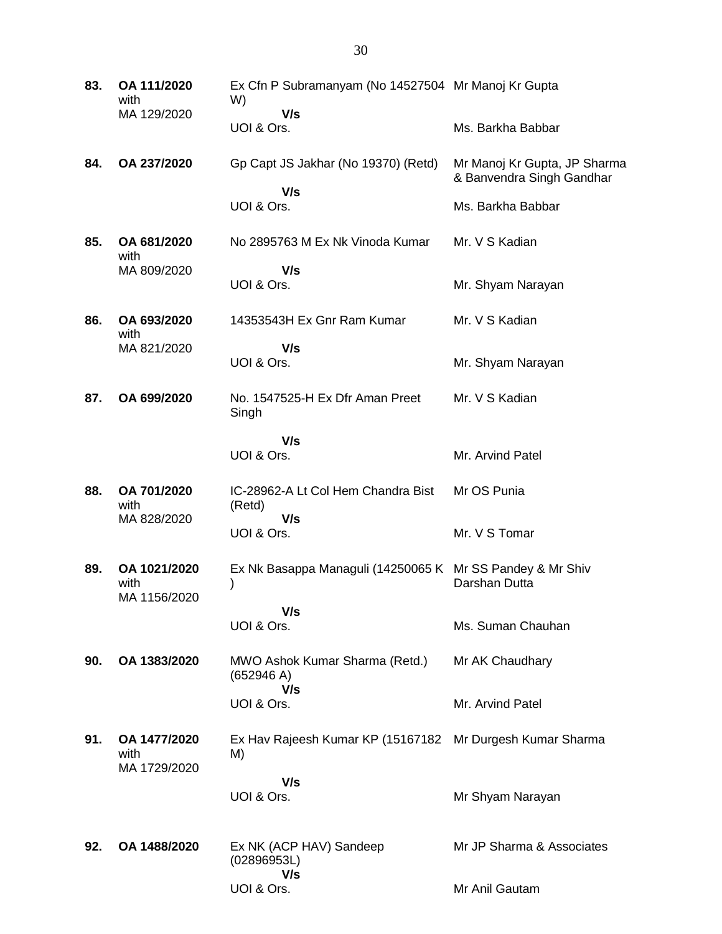| 83. | OA 111/2020<br>with                  | Ex Cfn P Subramanyam (No 14527504 Mr Manoj Kr Gupta<br>W)      |                                                           |
|-----|--------------------------------------|----------------------------------------------------------------|-----------------------------------------------------------|
|     | MA 129/2020                          | V/s<br>UOI & Ors.                                              | Ms. Barkha Babbar                                         |
| 84. | OA 237/2020                          | Gp Capt JS Jakhar (No 19370) (Retd)                            | Mr Manoj Kr Gupta, JP Sharma<br>& Banvendra Singh Gandhar |
|     |                                      | V/s<br>UOI & Ors.                                              | Ms. Barkha Babbar                                         |
| 85. | OA 681/2020<br>with                  | No 2895763 M Ex Nk Vinoda Kumar                                | Mr. V S Kadian                                            |
|     | MA 809/2020                          | V/s<br>UOI & Ors.                                              | Mr. Shyam Narayan                                         |
| 86. | OA 693/2020<br>with                  | 14353543H Ex Gnr Ram Kumar                                     | Mr. V S Kadian                                            |
|     | MA 821/2020                          | V/s<br>UOI & Ors.                                              | Mr. Shyam Narayan                                         |
| 87. | OA 699/2020                          | No. 1547525-H Ex Dfr Aman Preet<br>Singh                       | Mr. V S Kadian                                            |
|     |                                      | V/s<br>UOI & Ors.                                              | Mr. Arvind Patel                                          |
| 88. | OA 701/2020<br>with<br>MA 828/2020   | IC-28962-A Lt Col Hem Chandra Bist<br>(Retd)<br>V/s            | Mr OS Punia                                               |
|     |                                      | UOI & Ors.                                                     | Mr. V S Tomar                                             |
| 89. | OA 1021/2020<br>with<br>MA 1156/2020 | Ex Nk Basappa Managuli (14250065 K Mr SS Pandey & Mr Shiv<br>) | Darshan Dutta                                             |
|     |                                      | V/s<br>UOI & Ors.                                              | Ms. Suman Chauhan                                         |
| 90. | OA 1383/2020                         | MWO Ashok Kumar Sharma (Retd.)<br>(652946 A)                   | Mr AK Chaudhary                                           |
|     |                                      | V/s<br>UOI & Ors.                                              | Mr. Arvind Patel                                          |
| 91. | OA 1477/2020<br>with<br>MA 1729/2020 | Ex Hav Rajeesh Kumar KP (15167182<br>M)                        | Mr Durgesh Kumar Sharma                                   |
|     |                                      | V/s<br>UOI & Ors.                                              | Mr Shyam Narayan                                          |
| 92. | OA 1488/2020                         | Ex NK (ACP HAV) Sandeep<br>(02896953L)                         | Mr JP Sharma & Associates                                 |
|     |                                      | V/s<br>UOI & Ors.                                              | Mr Anil Gautam                                            |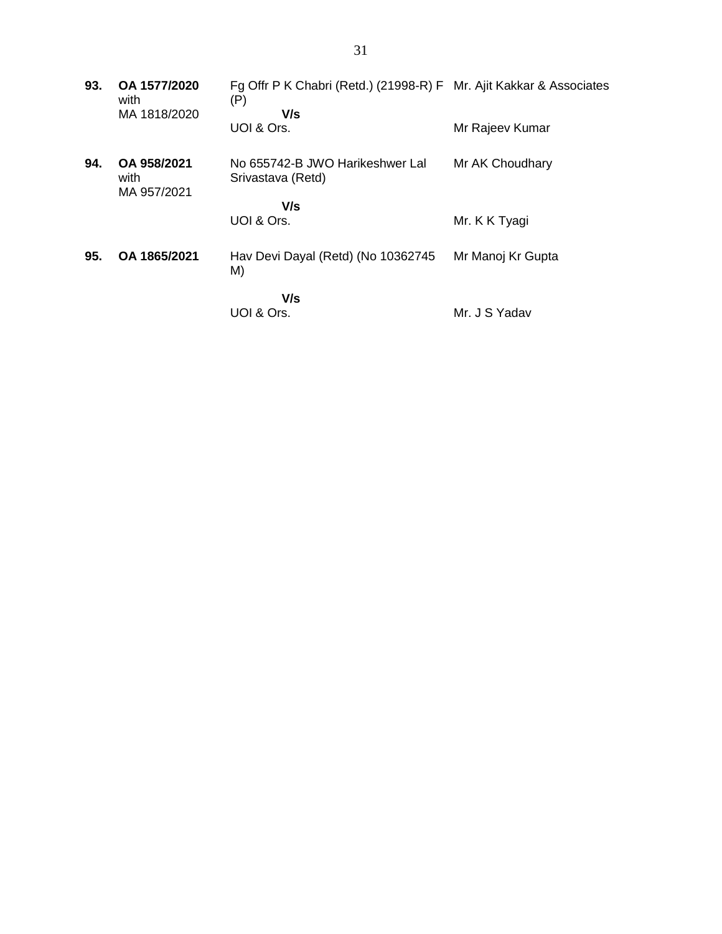| 93. | OA 1577/2020<br>with               | Fg Offr P K Chabri (Retd.) (21998-R) F Mr. Ajit Kakkar & Associates<br>(P) |                   |
|-----|------------------------------------|----------------------------------------------------------------------------|-------------------|
|     | MA 1818/2020                       | V/s<br>UOI & Ors.                                                          | Mr Rajeev Kumar   |
| 94. | OA 958/2021<br>with<br>MA 957/2021 | No 655742-B JWO Harikeshwer Lal<br>Srivastava (Retd)                       | Mr AK Choudhary   |
|     |                                    | V/s                                                                        |                   |
|     |                                    | UOI & Ors.                                                                 | Mr. K K Tyagi     |
| 95. | OA 1865/2021                       | Hav Devi Dayal (Retd) (No 10362745<br>M)                                   | Mr Manoj Kr Gupta |
|     |                                    | V/s                                                                        |                   |
|     |                                    | UOI & Ors.                                                                 | Mr. J S Yadav     |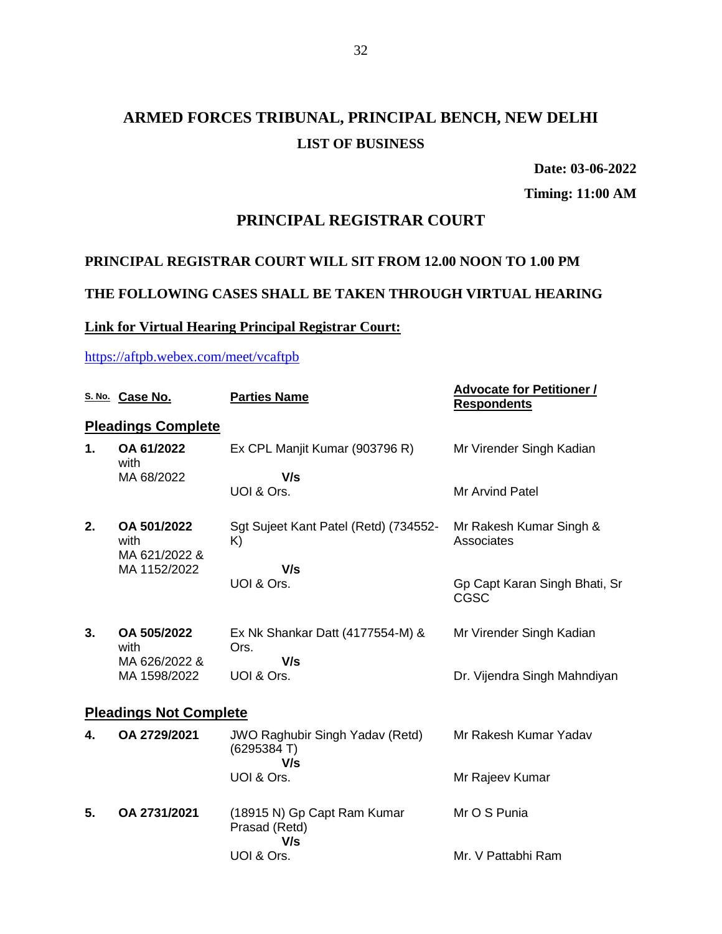**Date: 03-06-2022**

**Timing: 11:00 AM**

#### **PRINCIPAL REGISTRAR COURT**

### **PRINCIPAL REGISTRAR COURT WILL SIT FROM 12.00 NOON TO 1.00 PM**

#### **THE FOLLOWING CASES SHALL BE TAKEN THROUGH VIRTUAL HEARING**

### **Link for Virtual Hearing Principal Registrar Court:**

#### <https://aftpb.webex.com/meet/vcaftpb>

|    | S. No. Case No.                      | <b>Parties Name</b>                                          | <b>Advocate for Petitioner /</b><br><b>Respondents</b> |  |  |
|----|--------------------------------------|--------------------------------------------------------------|--------------------------------------------------------|--|--|
|    | <b>Pleadings Complete</b>            |                                                              |                                                        |  |  |
| 1. | OA 61/2022<br>with                   | Ex CPL Manjit Kumar (903796 R)                               | Mr Virender Singh Kadian                               |  |  |
|    | MA 68/2022                           | V/s                                                          |                                                        |  |  |
|    |                                      | UOI & Ors.                                                   | <b>Mr Arvind Patel</b>                                 |  |  |
| 2. | OA 501/2022<br>with<br>MA 621/2022 & | Sgt Sujeet Kant Patel (Retd) (734552-<br>K)                  | Mr Rakesh Kumar Singh &<br>Associates                  |  |  |
|    | MA 1152/2022                         | V/s                                                          |                                                        |  |  |
|    |                                      | UOI & Ors.                                                   | Gp Capt Karan Singh Bhati, Sr<br><b>CGSC</b>           |  |  |
| 3. | OA 505/2022<br>with                  | Ex Nk Shankar Datt (4177554-M) &<br>Ors.                     | Mr Virender Singh Kadian                               |  |  |
|    | MA 626/2022 &<br>MA 1598/2022        | V/s<br>UOI & Ors.                                            | Dr. Vijendra Singh Mahndiyan                           |  |  |
|    | <b>Pleadings Not Complete</b>        |                                                              |                                                        |  |  |
| 4. | OA 2729/2021                         | <b>JWO Raghubir Singh Yadav (Retd)</b><br>(6295384 T)<br>V/s | Mr Rakesh Kumar Yadav                                  |  |  |
|    |                                      | UOI & Ors.                                                   | Mr Rajeev Kumar                                        |  |  |
| 5. | OA 2731/2021                         | (18915 N) Gp Capt Ram Kumar<br>Prasad (Retd)<br>V/s          | Mr O S Punia                                           |  |  |
|    |                                      | UOI & Ors.                                                   | Mr. V Pattabhi Ram                                     |  |  |
|    |                                      |                                                              |                                                        |  |  |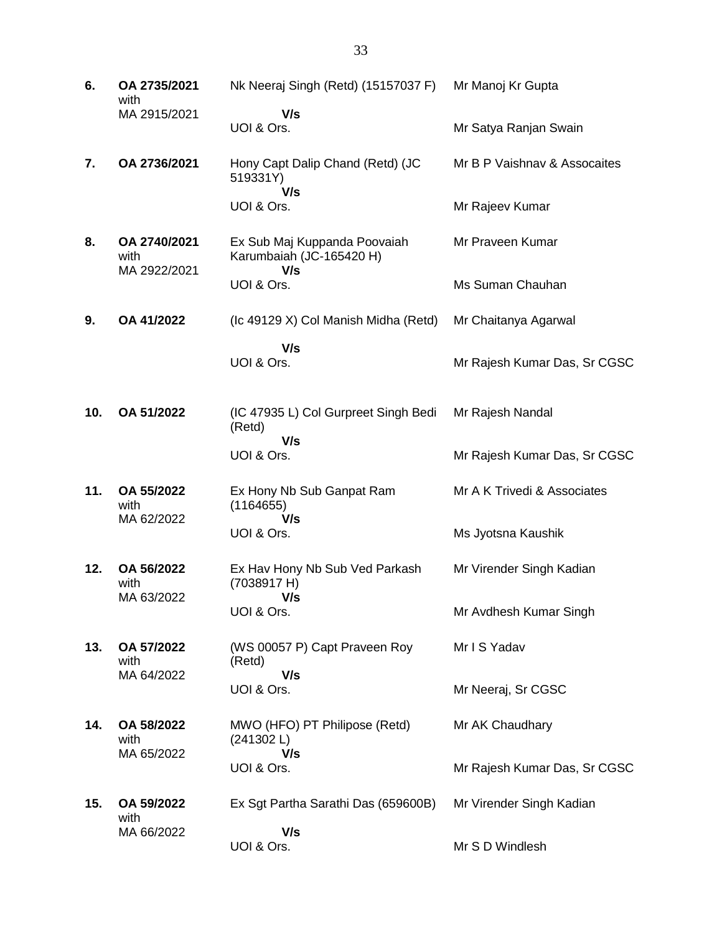| 6.  | OA 2735/2021<br>with                 | Nk Neeraj Singh (Retd) (15157037 F)                             | Mr Manoj Kr Gupta            |
|-----|--------------------------------------|-----------------------------------------------------------------|------------------------------|
|     | MA 2915/2021                         | V/s<br>UOI & Ors.                                               | Mr Satya Ranjan Swain        |
| 7.  | OA 2736/2021                         | Hony Capt Dalip Chand (Retd) (JC<br>519331Y)<br>V/s             | Mr B P Vaishnay & Assocaites |
|     |                                      | UOI & Ors.                                                      | Mr Rajeev Kumar              |
| 8.  | OA 2740/2021<br>with<br>MA 2922/2021 | Ex Sub Maj Kuppanda Poovaiah<br>Karumbaiah (JC-165420 H)<br>V/s | Mr Praveen Kumar             |
|     |                                      | UOI & Ors.                                                      | Ms Suman Chauhan             |
| 9.  | OA 41/2022                           | (Ic 49129 X) Col Manish Midha (Retd)                            | Mr Chaitanya Agarwal         |
|     |                                      | V/s<br>UOI & Ors.                                               | Mr Rajesh Kumar Das, Sr CGSC |
| 10. | OA 51/2022                           | (IC 47935 L) Col Gurpreet Singh Bedi<br>(Retd)                  | Mr Rajesh Nandal             |
|     |                                      | V/s<br>UOI & Ors.                                               | Mr Rajesh Kumar Das, Sr CGSC |
| 11. | OA 55/2022<br>with<br>MA 62/2022     | Ex Hony Nb Sub Ganpat Ram<br>(1164655)<br>V/s                   | Mr A K Trivedi & Associates  |
|     |                                      | UOI & Ors.                                                      | Ms Jyotsna Kaushik           |
| 12. | OA 56/2022<br>with                   | Ex Hav Hony Nb Sub Ved Parkash<br>(7038917 H)                   | Mr Virender Singh Kadian     |
|     | MA 63/2022                           | V/s<br>UOI & Ors.                                               | Mr Avdhesh Kumar Singh       |
| 13. | OA 57/2022<br>with                   | (WS 00057 P) Capt Praveen Roy<br>(Retd)                         | Mr I S Yadav                 |
|     | MA 64/2022                           | V/s<br>UOI & Ors.                                               | Mr Neeraj, Sr CGSC           |
| 14. | OA 58/2022<br>with                   | MWO (HFO) PT Philipose (Retd)<br>(241302L)<br>V/s               | Mr AK Chaudhary              |
|     | MA 65/2022                           | UOI & Ors.                                                      | Mr Rajesh Kumar Das, Sr CGSC |
| 15. | OA 59/2022<br>with                   | Ex Sgt Partha Sarathi Das (659600B)                             | Mr Virender Singh Kadian     |
|     | MA 66/2022                           | V/s<br>UOI & Ors.                                               | Mr S D Windlesh              |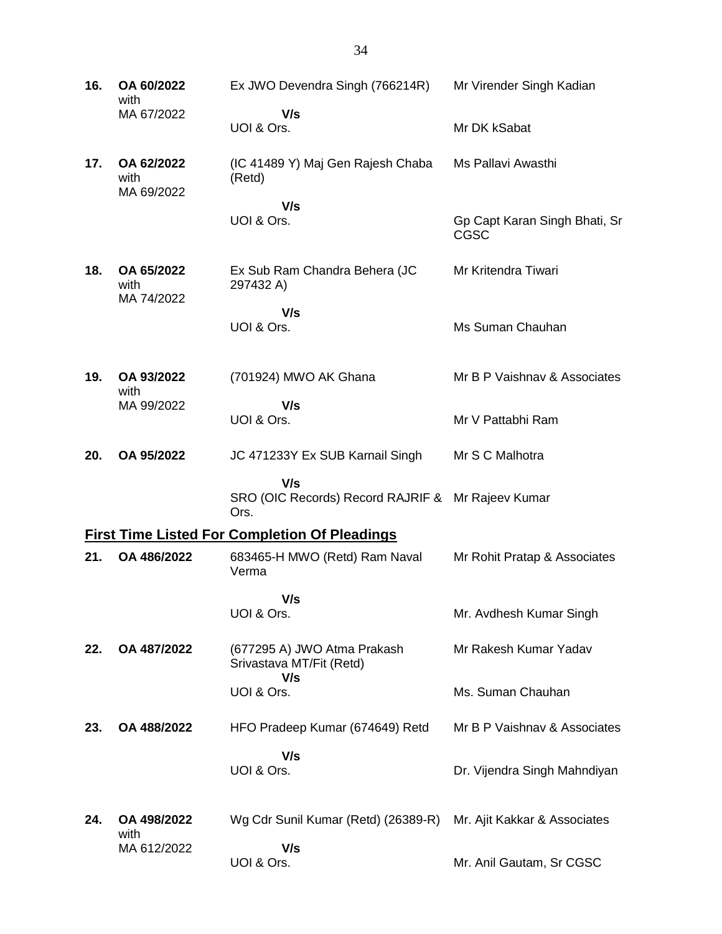| 16. | OA 60/2022<br>with               | Ex JWO Devendra Singh (766214R)                                  | Mr Virender Singh Kadian                     |
|-----|----------------------------------|------------------------------------------------------------------|----------------------------------------------|
|     | MA 67/2022                       | V/s<br>UOI & Ors.                                                | Mr DK kSabat                                 |
| 17. | OA 62/2022<br>with<br>MA 69/2022 | (IC 41489 Y) Maj Gen Rajesh Chaba<br>(Retd)                      | Ms Pallavi Awasthi                           |
|     |                                  | V/s<br>UOI & Ors.                                                | Gp Capt Karan Singh Bhati, Sr<br><b>CGSC</b> |
| 18. | OA 65/2022<br>with               | Ex Sub Ram Chandra Behera (JC<br>297432 A)                       | Mr Kritendra Tiwari                          |
|     | MA 74/2022                       | V/s<br>UOI & Ors.                                                | Ms Suman Chauhan                             |
| 19. | OA 93/2022<br>with               | (701924) MWO AK Ghana                                            | Mr B P Vaishnay & Associates                 |
|     | MA 99/2022                       | V/s<br>UOI & Ors.                                                | Mr V Pattabhi Ram                            |
| 20. | OA 95/2022                       | JC 471233Y Ex SUB Karnail Singh                                  | Mr S C Malhotra                              |
|     |                                  | V/s<br>SRO (OIC Records) Record RAJRIF & Mr Rajeev Kumar<br>Ors. |                                              |
|     |                                  | <b>First Time Listed For Completion Of Pleadings</b>             |                                              |
| 21. | OA 486/2022                      | 683465-H MWO (Retd) Ram Naval<br>Verma                           | Mr Rohit Pratap & Associates                 |
|     |                                  | V/s<br>UOI & Ors.                                                | Mr. Avdhesh Kumar Singh                      |
| 22. | OA 487/2022                      | (677295 A) JWO Atma Prakash<br>Srivastava MT/Fit (Retd)          | Mr Rakesh Kumar Yadav                        |
|     |                                  | V/s<br>UOI & Ors.                                                | Ms. Suman Chauhan                            |
| 23. | OA 488/2022                      | HFO Pradeep Kumar (674649) Retd                                  | Mr B P Vaishnav & Associates                 |
|     |                                  | V/s<br>UOI & Ors.                                                | Dr. Vijendra Singh Mahndiyan                 |
|     |                                  |                                                                  |                                              |
| 24. | OA 498/2022<br>with              | Wg Cdr Sunil Kumar (Retd) (26389-R)                              | Mr. Ajit Kakkar & Associates                 |